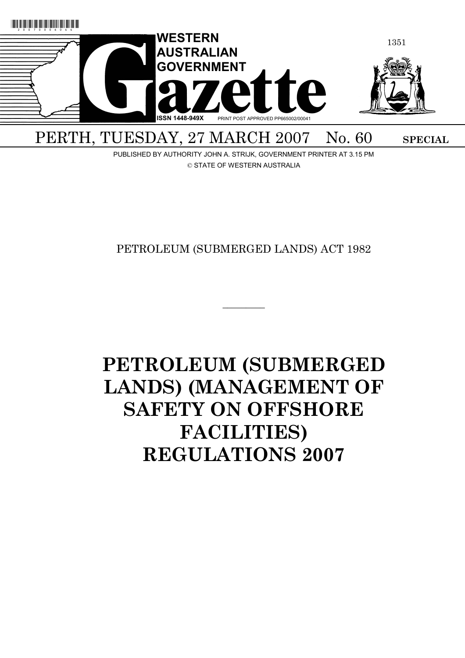

PUBLISHED BY AUTHORITY JOHN A. STRIJK, GOVERNMENT PRINTER AT 3.15 PM © STATE OF WESTERN AUSTRALIA

PETROLEUM (SUBMERGED LANDS) ACT 1982

 $\overline{\phantom{a}}$  . The set of the set of the set of the set of the set of the set of the set of the set of the set of the set of the set of the set of the set of the set of the set of the set of the set of the set of the set o

# **PETROLEUM (SUBMERGED LANDS) (MANAGEMENT OF SAFETY ON OFFSHORE FACILITIES) REGULATIONS 2007**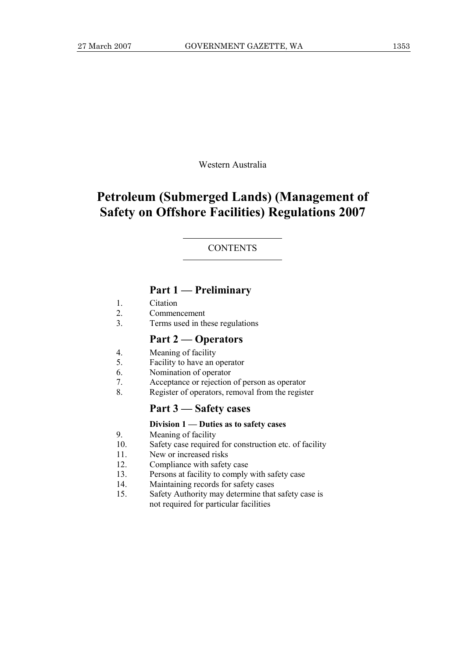Western Australia

## **Petroleum (Submerged Lands) (Management of Safety on Offshore Facilities) Regulations 2007**

#### **CONTENTS**

### **Part 1 — Preliminary**

- 1. Citation
- 2. Commencement
- 3. Terms used in these regulations

#### **Part 2 — Operators**

- 4. Meaning of facility
- 5. Facility to have an operator
- 6. Nomination of operator
- 7. Acceptance or rejection of person as operator
- 8. Register of operators, removal from the register

#### **Part 3 — Safety cases**

#### **Division 1 — Duties as to safety cases**

- 9. Meaning of facility
- 10. Safety case required for construction etc. of facility
- 11. New or increased risks
- 12. Compliance with safety case
- 13. Persons at facility to comply with safety case
- 14. Maintaining records for safety cases
- 15. Safety Authority may determine that safety case is not required for particular facilities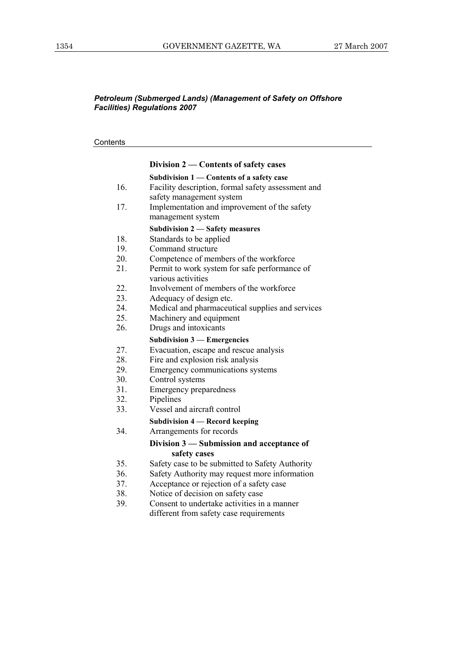#### **Contents**

|     | Division 2 – Contents of safety cases                                    |
|-----|--------------------------------------------------------------------------|
|     | Subdivision 1 - Contents of a safety case                                |
| 16. | Facility description, formal safety assessment and                       |
| 17. | safety management system<br>Implementation and improvement of the safety |
|     | management system                                                        |
|     | <b>Subdivision 2 - Safety measures</b>                                   |
| 18. | Standards to be applied                                                  |
| 19. | Command structure                                                        |
| 20. | Competence of members of the workforce                                   |
| 21. | Permit to work system for safe performance of<br>various activities      |
| 22. | Involvement of members of the workforce                                  |
| 23. | Adequacy of design etc.                                                  |
| 24. | Medical and pharmaceutical supplies and services                         |
| 25. | Machinery and equipment                                                  |
| 26. | Drugs and intoxicants                                                    |
|     | <b>Subdivision 3 – Emergencies</b>                                       |
| 27. | Evacuation, escape and rescue analysis                                   |
| 28. | Fire and explosion risk analysis                                         |
| 29. | Emergency communications systems                                         |
| 30. | Control systems                                                          |
| 31. | <b>Emergency preparedness</b>                                            |
| 32. | Pipelines                                                                |
| 33. | Vessel and aircraft control                                              |
|     | <b>Subdivision 4 - Record keeping</b>                                    |
| 34. | Arrangements for records                                                 |
|     | Division 3 – Submission and acceptance of                                |
|     | safety cases                                                             |
| 35. | Safety case to be submitted to Safety Authority                          |
| 36. | Safety Authority may request more information                            |
| 37. | Acceptance or rejection of a safety case                                 |
| 38. | Notice of decision on safety case                                        |
| 39. | Consent to undertake activities in a manner                              |
|     | different from safety case requirements                                  |
|     |                                                                          |
|     |                                                                          |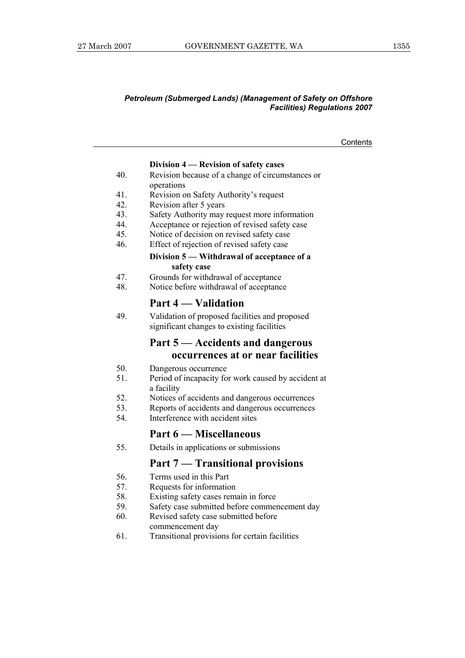**Contents** 

#### **Division 4 — Revision of safety cases**

- 40. Revision because of a change of circumstances or operations
- 41. Revision on Safety Authority's request
- 42. Revision after 5 years
- 43. Safety Authority may request more information
- 44. Acceptance or rejection of revised safety case
- 45. Notice of decision on revised safety case
- 46. Effect of rejection of revised safety case

#### **Division 5 — Withdrawal of acceptance of a safety case**

- 47. Grounds for withdrawal of acceptance
- 48. Notice before withdrawal of acceptance

#### **Part 4 — Validation**

49. Validation of proposed facilities and proposed significant changes to existing facilities

### **Part 5 — Accidents and dangerous occurrences at or near facilities**

- 50. Dangerous occurrence
- 51. Period of incapacity for work caused by accident at a facility
- 52. Notices of accidents and dangerous occurrences
- 53. Reports of accidents and dangerous occurrences
- 54. Interference with accident sites

#### **Part 6 — Miscellaneous**

55. Details in applications or submissions

#### **Part 7 — Transitional provisions**

- 56. Terms used in this Part
- 57. Requests for information
- 58. Existing safety cases remain in force
- 59. Safety case submitted before commencement day
- 60. Revised safety case submitted before commencement day
- 61. Transitional provisions for certain facilities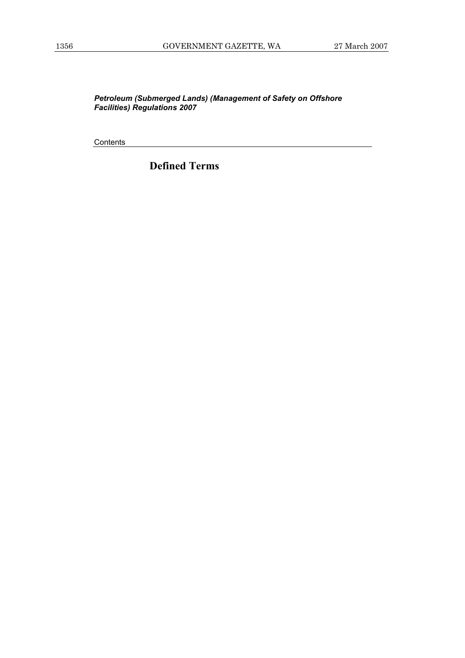**Contents** 

**Defined Terms**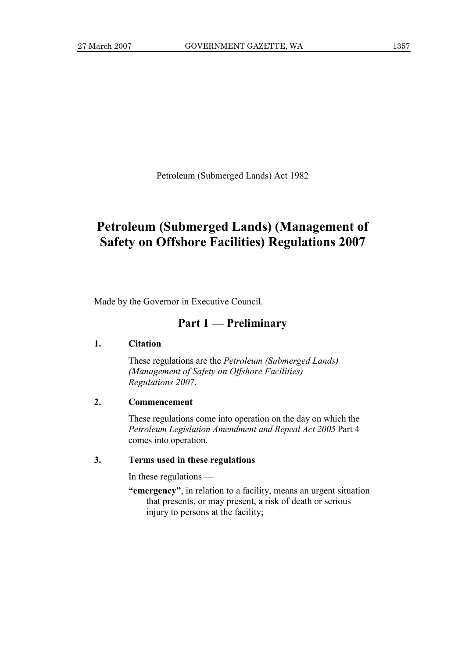Petroleum (Submerged Lands) Act 1982

### **Petroleum (Submerged Lands) (Management of Safety on Offshore Facilities) Regulations 2007**

Made by the Governor in Executive Council.

### **Part 1 — Preliminary**

#### **1. Citation**

 These regulations are the *Petroleum (Submerged Lands) (Management of Safety on Offshore Facilities) Regulations 2007*.

#### **2. Commencement**

 These regulations come into operation on the day on which the *Petroleum Legislation Amendment and Repeal Act 2005* Part 4 comes into operation.

#### **3. Terms used in these regulations**

In these regulations —

 **"emergency"**, in relation to a facility, means an urgent situation that presents, or may present, a risk of death or serious injury to persons at the facility;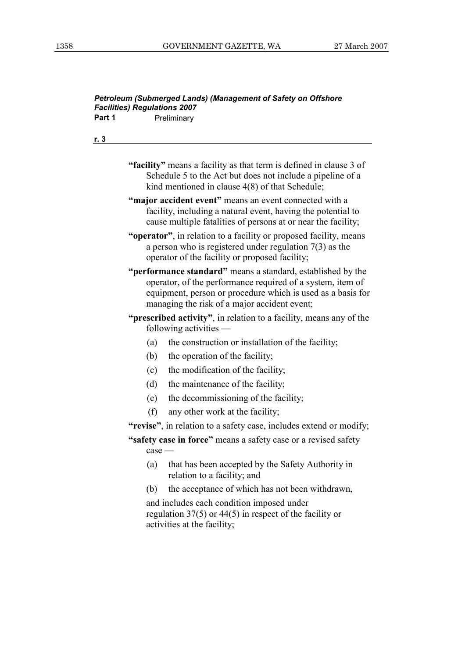|      | Preliminary                                                                                                                                                                                                                              |
|------|------------------------------------------------------------------------------------------------------------------------------------------------------------------------------------------------------------------------------------------|
| r. 3 |                                                                                                                                                                                                                                          |
|      | "facility" means a facility as that term is defined in clause 3 of<br>Schedule 5 to the Act but does not include a pipeline of a<br>kind mentioned in clause 4(8) of that Schedule;                                                      |
|      | "major accident event" means an event connected with a<br>facility, including a natural event, having the potential to<br>cause multiple fatalities of persons at or near the facility;                                                  |
|      | "operator", in relation to a facility or proposed facility, means<br>a person who is registered under regulation $7(3)$ as the<br>operator of the facility or proposed facility;                                                         |
|      | "performance standard" means a standard, established by the<br>operator, of the performance required of a system, item of<br>equipment, person or procedure which is used as a basis for<br>managing the risk of a major accident event; |
|      | " <b>prescribed activity</b> ", in relation to a facility, means any of the<br>following activities $-$                                                                                                                                  |
|      | the construction or installation of the facility;<br>(a)                                                                                                                                                                                 |
|      | (b)<br>the operation of the facility;                                                                                                                                                                                                    |
|      | the modification of the facility;<br>(c)                                                                                                                                                                                                 |
|      | (d)<br>the maintenance of the facility;                                                                                                                                                                                                  |
|      | the decommissioning of the facility;<br>(e)                                                                                                                                                                                              |
|      | (f)<br>any other work at the facility;                                                                                                                                                                                                   |
|      | "revise", in relation to a safety case, includes extend or modify;                                                                                                                                                                       |
|      | "safety case in force" means a safety case or a revised safety<br>$case -$                                                                                                                                                               |
|      | that has been accepted by the Safety Authority in<br>(a)<br>relation to a facility; and                                                                                                                                                  |
|      | the acceptance of which has not been withdrawn,<br>(b)                                                                                                                                                                                   |
|      | and includes each condition imposed under<br>regulation $37(5)$ or $44(5)$ in respect of the facility or<br>activities at the facility;                                                                                                  |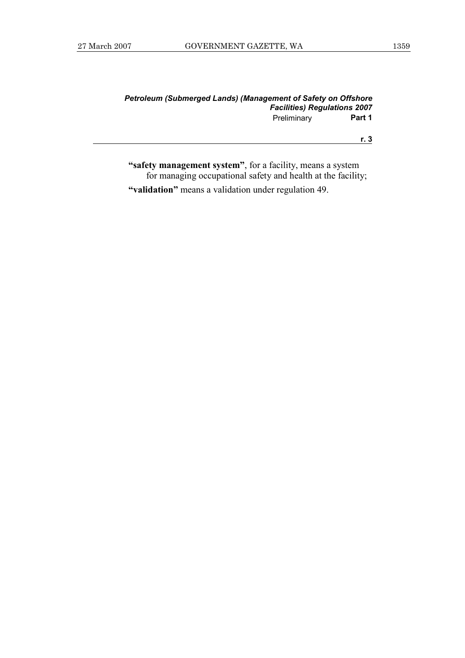| Petroleum (Submerged Lands) (Management of Safety on Offshore |        |
|---------------------------------------------------------------|--------|
| <b>Facilities) Regulations 2007</b>                           |        |
| Preliminary                                                   | Part 1 |

**"safety management system"**, for a facility, means a system for managing occupational safety and health at the facility;

 **"validation"** means a validation under regulation 49.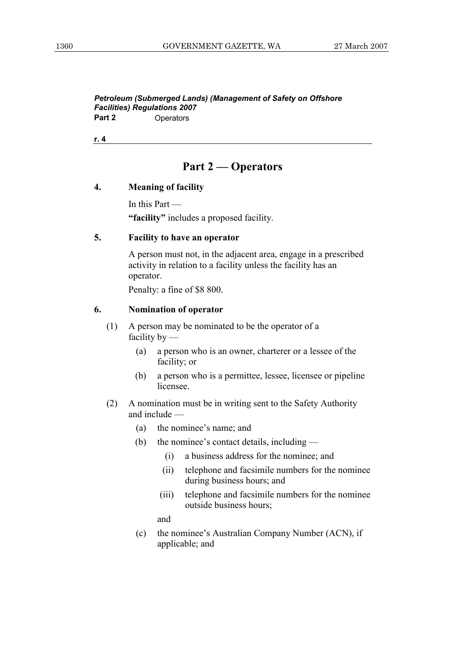### **Part 2 — Operators**

#### **4. Meaning of facility**

 In this Part —  **"facility"** includes a proposed facility.

#### **5. Facility to have an operator**

 A person must not, in the adjacent area, engage in a prescribed activity in relation to a facility unless the facility has an operator.

Penalty: a fine of \$8 800.

#### **6. Nomination of operator**

- (1) A person may be nominated to be the operator of a facility by —
	- (a) a person who is an owner, charterer or a lessee of the facility; or
	- (b) a person who is a permittee, lessee, licensee or pipeline licensee.
- (2) A nomination must be in writing sent to the Safety Authority and include —
	- (a) the nominee's name; and
	- (b) the nominee's contact details, including
		- (i) a business address for the nominee; and
		- (ii) telephone and facsimile numbers for the nominee during business hours; and
		- (iii) telephone and facsimile numbers for the nominee outside business hours;

and

 (c) the nominee's Australian Company Number (ACN), if applicable; and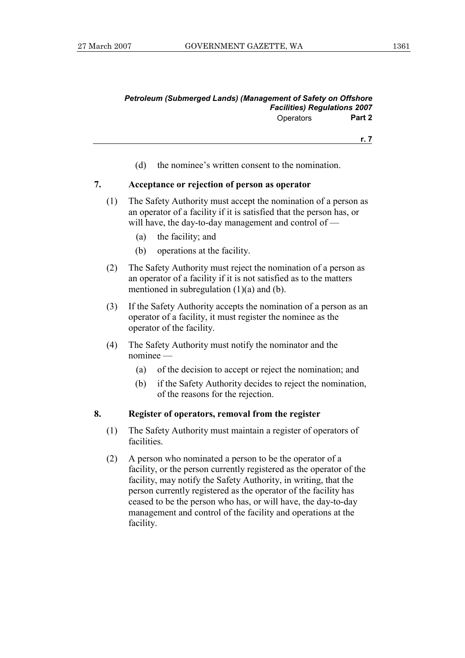(d) the nominee's written consent to the nomination.

#### **7. Acceptance or rejection of person as operator**

- (1) The Safety Authority must accept the nomination of a person as an operator of a facility if it is satisfied that the person has, or will have, the day-to-day management and control of —
	- (a) the facility; and
	- (b) operations at the facility.
- (2) The Safety Authority must reject the nomination of a person as an operator of a facility if it is not satisfied as to the matters mentioned in subregulation (1)(a) and (b).
- (3) If the Safety Authority accepts the nomination of a person as an operator of a facility, it must register the nominee as the operator of the facility.
- (4) The Safety Authority must notify the nominator and the nominee —
	- (a) of the decision to accept or reject the nomination; and
	- (b) if the Safety Authority decides to reject the nomination, of the reasons for the rejection.

#### **8. Register of operators, removal from the register**

- (1) The Safety Authority must maintain a register of operators of **facilities**
- (2) A person who nominated a person to be the operator of a facility, or the person currently registered as the operator of the facility, may notify the Safety Authority, in writing, that the person currently registered as the operator of the facility has ceased to be the person who has, or will have, the day-to-day management and control of the facility and operations at the facility.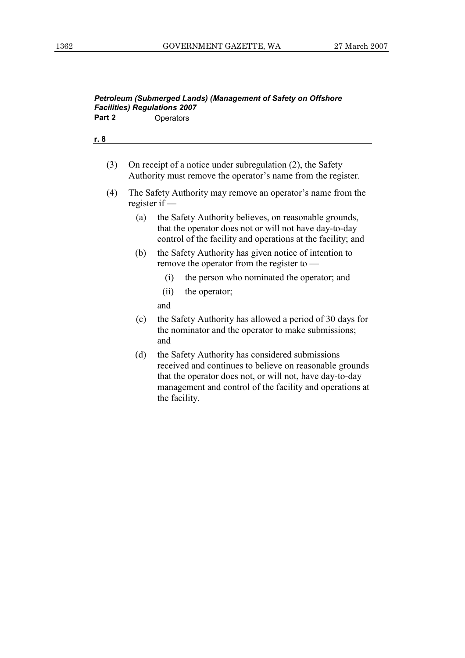#### *Petroleum (Submerged Lands) (Management of Safety on Offshore Facilities) Regulations 2007*  Part 2 **Operators**

**r. 8**

- (3) On receipt of a notice under subregulation (2), the Safety Authority must remove the operator's name from the register.
- (4) The Safety Authority may remove an operator's name from the register if —
	- (a) the Safety Authority believes, on reasonable grounds, that the operator does not or will not have day-to-day control of the facility and operations at the facility; and
	- (b) the Safety Authority has given notice of intention to remove the operator from the register to —
		- (i) the person who nominated the operator; and
		- (ii) the operator;

and

- (c) the Safety Authority has allowed a period of 30 days for the nominator and the operator to make submissions; and
- (d) the Safety Authority has considered submissions received and continues to believe on reasonable grounds that the operator does not, or will not, have day-to-day management and control of the facility and operations at the facility.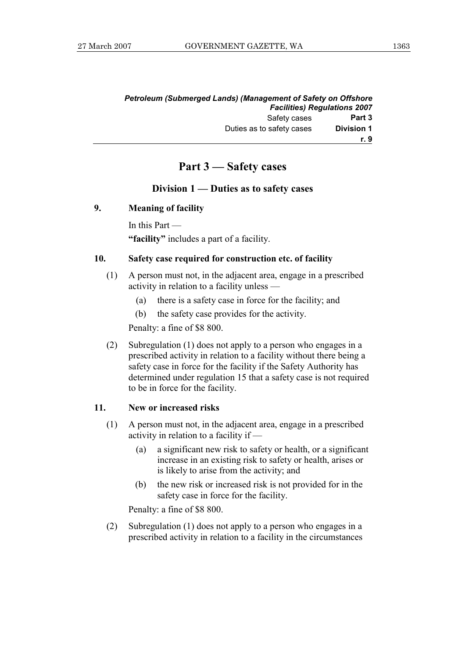|                   | Petroleum (Submerged Lands) (Management of Safety on Offshore |
|-------------------|---------------------------------------------------------------|
|                   | <b>Facilities) Regulations 2007</b>                           |
| Part 3            | Safety cases                                                  |
| <b>Division 1</b> | Duties as to safety cases                                     |
| r. 9              |                                                               |

### **Part 3 — Safety cases**

#### **Division 1 — Duties as to safety cases**

#### **9. Meaning of facility**

In this Part —

 **"facility"** includes a part of a facility.

#### **10. Safety case required for construction etc. of facility**

- (1) A person must not, in the adjacent area, engage in a prescribed activity in relation to a facility unless —
	- (a) there is a safety case in force for the facility; and
	- (b) the safety case provides for the activity.

Penalty: a fine of \$8 800.

 (2) Subregulation (1) does not apply to a person who engages in a prescribed activity in relation to a facility without there being a safety case in force for the facility if the Safety Authority has determined under regulation 15 that a safety case is not required to be in force for the facility.

#### **11. New or increased risks**

- (1) A person must not, in the adjacent area, engage in a prescribed activity in relation to a facility if —
	- (a) a significant new risk to safety or health, or a significant increase in an existing risk to safety or health, arises or is likely to arise from the activity; and
	- (b) the new risk or increased risk is not provided for in the safety case in force for the facility.

Penalty: a fine of \$8 800.

 (2) Subregulation (1) does not apply to a person who engages in a prescribed activity in relation to a facility in the circumstances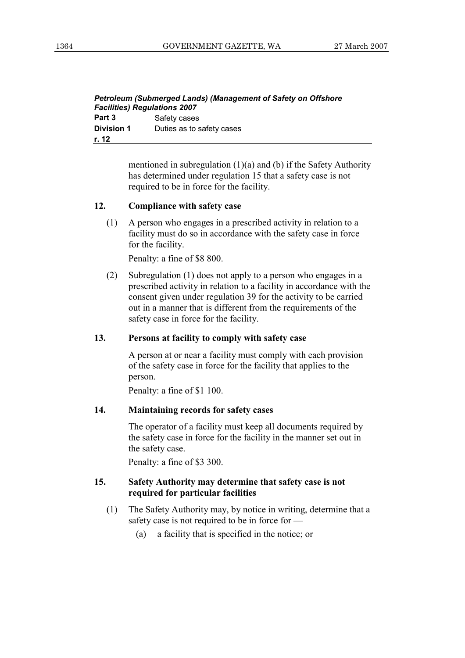| Petroleum (Submerged Lands) (Management of Safety on Offshore |                           |  |
|---------------------------------------------------------------|---------------------------|--|
| <b>Facilities) Regulations 2007</b>                           |                           |  |
| Part 3                                                        | Safety cases              |  |
| <b>Division 1</b>                                             | Duties as to safety cases |  |
| r. 12                                                         |                           |  |

mentioned in subregulation (1)(a) and (b) if the Safety Authority has determined under regulation 15 that a safety case is not required to be in force for the facility.

#### **12. Compliance with safety case**

 (1) A person who engages in a prescribed activity in relation to a facility must do so in accordance with the safety case in force for the facility.

Penalty: a fine of \$8 800.

 (2) Subregulation (1) does not apply to a person who engages in a prescribed activity in relation to a facility in accordance with the consent given under regulation 39 for the activity to be carried out in a manner that is different from the requirements of the safety case in force for the facility.

#### **13. Persons at facility to comply with safety case**

 A person at or near a facility must comply with each provision of the safety case in force for the facility that applies to the person.

Penalty: a fine of \$1 100.

#### **14. Maintaining records for safety cases**

 The operator of a facility must keep all documents required by the safety case in force for the facility in the manner set out in the safety case.

Penalty: a fine of \$3 300.

#### **15. Safety Authority may determine that safety case is not required for particular facilities**

- (1) The Safety Authority may, by notice in writing, determine that a safety case is not required to be in force for —
	- (a) a facility that is specified in the notice; or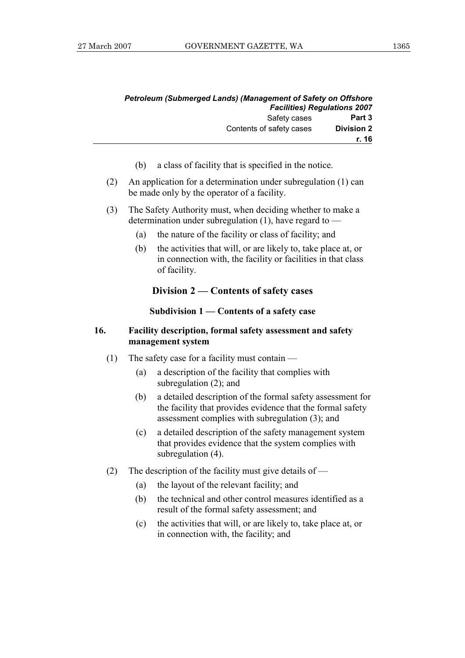|                   | <b>Petroleum (Submerged Lands) (Management of Safety on Offshore</b> |  |
|-------------------|----------------------------------------------------------------------|--|
|                   | <b>Facilities) Regulations 2007</b>                                  |  |
| Part 3            | Safety cases                                                         |  |
| <b>Division 2</b> | Contents of safety cases                                             |  |
| r. 16             |                                                                      |  |

- (b) a class of facility that is specified in the notice.
- (2) An application for a determination under subregulation (1) can be made only by the operator of a facility.
- (3) The Safety Authority must, when deciding whether to make a determination under subregulation (1), have regard to —
	- (a) the nature of the facility or class of facility; and
	- (b) the activities that will, or are likely to, take place at, or in connection with, the facility or facilities in that class of facility.

#### **Division 2 — Contents of safety cases**

#### **Subdivision 1 — Contents of a safety case**

#### **16. Facility description, formal safety assessment and safety management system**

- (1) The safety case for a facility must contain
	- (a) a description of the facility that complies with subregulation (2); and
	- (b) a detailed description of the formal safety assessment for the facility that provides evidence that the formal safety assessment complies with subregulation (3); and
	- (c) a detailed description of the safety management system that provides evidence that the system complies with subregulation (4).
- (2) The description of the facility must give details of
	- (a) the layout of the relevant facility; and
	- (b) the technical and other control measures identified as a result of the formal safety assessment; and
	- (c) the activities that will, or are likely to, take place at, or in connection with, the facility; and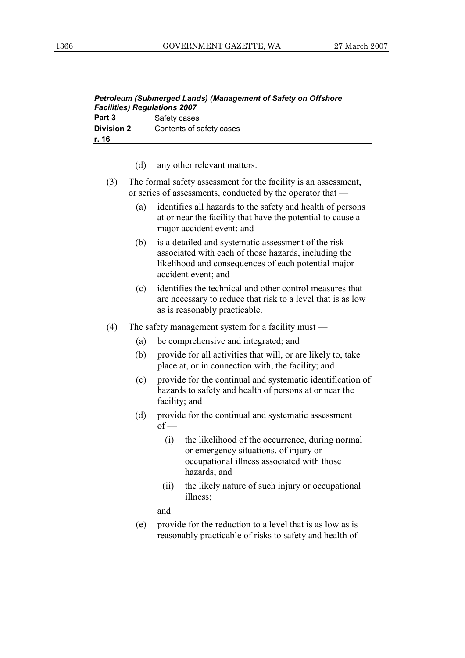| <b>Petroleum (Submerged Lands) (Management of Safety on Offshore</b> |                          |  |
|----------------------------------------------------------------------|--------------------------|--|
| <b>Facilities) Regulations 2007</b>                                  |                          |  |
| Part 3                                                               | Safety cases             |  |
| <b>Division 2</b>                                                    | Contents of safety cases |  |
| r. 16                                                                |                          |  |

- (d) any other relevant matters.
- (3) The formal safety assessment for the facility is an assessment, or series of assessments, conducted by the operator that —
	- (a) identifies all hazards to the safety and health of persons at or near the facility that have the potential to cause a major accident event; and
	- (b) is a detailed and systematic assessment of the risk associated with each of those hazards, including the likelihood and consequences of each potential major accident event; and
	- (c) identifies the technical and other control measures that are necessary to reduce that risk to a level that is as low as is reasonably practicable.
- (4) The safety management system for a facility must
	- (a) be comprehensive and integrated; and
	- (b) provide for all activities that will, or are likely to, take place at, or in connection with, the facility; and
	- (c) provide for the continual and systematic identification of hazards to safety and health of persons at or near the facility; and
	- (d) provide for the continual and systematic assessment  $of$  —
		- (i) the likelihood of the occurrence, during normal or emergency situations, of injury or occupational illness associated with those hazards; and
		- (ii) the likely nature of such injury or occupational illness;

and

 (e) provide for the reduction to a level that is as low as is reasonably practicable of risks to safety and health of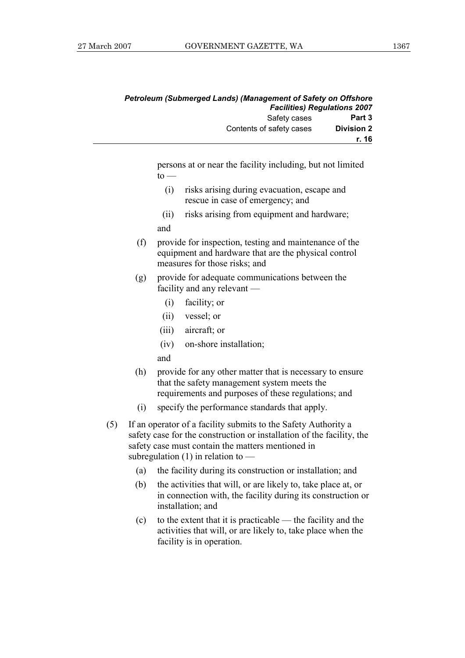|                   | Petroleum (Submerged Lands) (Management of Safety on Offshore |  |
|-------------------|---------------------------------------------------------------|--|
|                   | <b>Facilities) Regulations 2007</b>                           |  |
| Part 3            | Safety cases                                                  |  |
| <b>Division 2</b> | Contents of safety cases                                      |  |
| r. 16             |                                                               |  |

persons at or near the facility including, but not limited  $to -$ 

- (i) risks arising during evacuation, escape and rescue in case of emergency; and
- (ii) risks arising from equipment and hardware; and
- (f) provide for inspection, testing and maintenance of the equipment and hardware that are the physical control measures for those risks; and
- (g) provide for adequate communications between the facility and any relevant —
	- (i) facility; or
	- (ii) vessel; or
	- (iii) aircraft; or
	- (iv) on-shore installation;
	- and
- (h) provide for any other matter that is necessary to ensure that the safety management system meets the requirements and purposes of these regulations; and
- (i) specify the performance standards that apply.
- (5) If an operator of a facility submits to the Safety Authority a safety case for the construction or installation of the facility, the safety case must contain the matters mentioned in subregulation  $(1)$  in relation to —
	- (a) the facility during its construction or installation; and
	- (b) the activities that will, or are likely to, take place at, or in connection with, the facility during its construction or installation; and
	- (c) to the extent that it is practicable the facility and the activities that will, or are likely to, take place when the facility is in operation.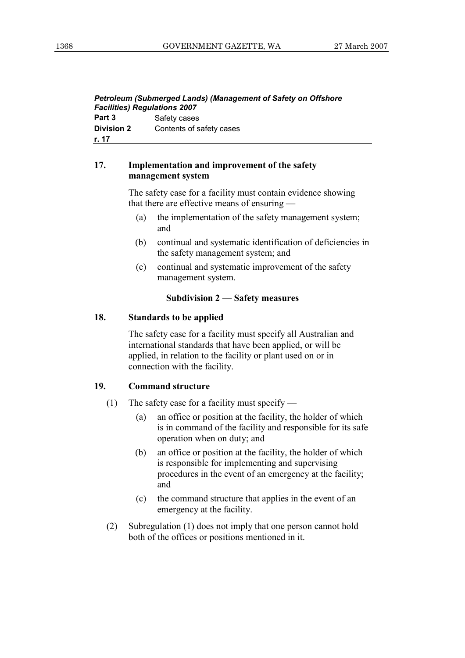| <b>Petroleum (Submerged Lands) (Management of Safety on Offshore</b><br><b>Facilities) Regulations 2007</b> |                          |  |
|-------------------------------------------------------------------------------------------------------------|--------------------------|--|
| Part 3                                                                                                      | Safety cases             |  |
| <b>Division 2</b>                                                                                           | Contents of safety cases |  |
| r. 17                                                                                                       |                          |  |

#### **17. Implementation and improvement of the safety management system**

 The safety case for a facility must contain evidence showing that there are effective means of ensuring —

- (a) the implementation of the safety management system; and
- (b) continual and systematic identification of deficiencies in the safety management system; and
- (c) continual and systematic improvement of the safety management system.

#### **Subdivision 2 — Safety measures**

#### **18. Standards to be applied**

 The safety case for a facility must specify all Australian and international standards that have been applied, or will be applied, in relation to the facility or plant used on or in connection with the facility.

#### **19. Command structure**

- (1) The safety case for a facility must specify
	- (a) an office or position at the facility, the holder of which is in command of the facility and responsible for its safe operation when on duty; and
	- (b) an office or position at the facility, the holder of which is responsible for implementing and supervising procedures in the event of an emergency at the facility; and
	- (c) the command structure that applies in the event of an emergency at the facility.
- (2) Subregulation (1) does not imply that one person cannot hold both of the offices or positions mentioned in it.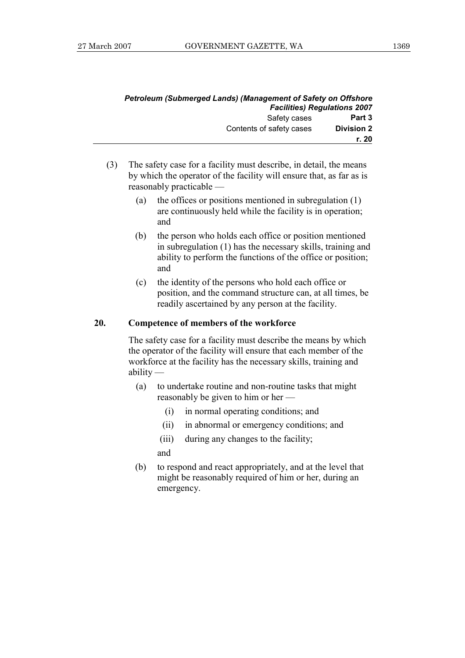|                   | <b>Petroleum (Submerged Lands) (Management of Safety on Offshore</b><br><b>Facilities) Regulations 2007</b> |  |
|-------------------|-------------------------------------------------------------------------------------------------------------|--|
| Part 3            | Safety cases                                                                                                |  |
| <b>Division 2</b> | Contents of safety cases                                                                                    |  |
| r. 20             |                                                                                                             |  |

- (3) The safety case for a facility must describe, in detail, the means by which the operator of the facility will ensure that, as far as is reasonably practicable —
	- (a) the offices or positions mentioned in subregulation (1) are continuously held while the facility is in operation; and
	- (b) the person who holds each office or position mentioned in subregulation (1) has the necessary skills, training and ability to perform the functions of the office or position; and
	- (c) the identity of the persons who hold each office or position, and the command structure can, at all times, be readily ascertained by any person at the facility.

#### **20. Competence of members of the workforce**

 The safety case for a facility must describe the means by which the operator of the facility will ensure that each member of the workforce at the facility has the necessary skills, training and ability —

- (a) to undertake routine and non-routine tasks that might reasonably be given to him or her —
	- (i) in normal operating conditions; and
	- (ii) in abnormal or emergency conditions; and
	- (iii) during any changes to the facility;

and

 (b) to respond and react appropriately, and at the level that might be reasonably required of him or her, during an emergency.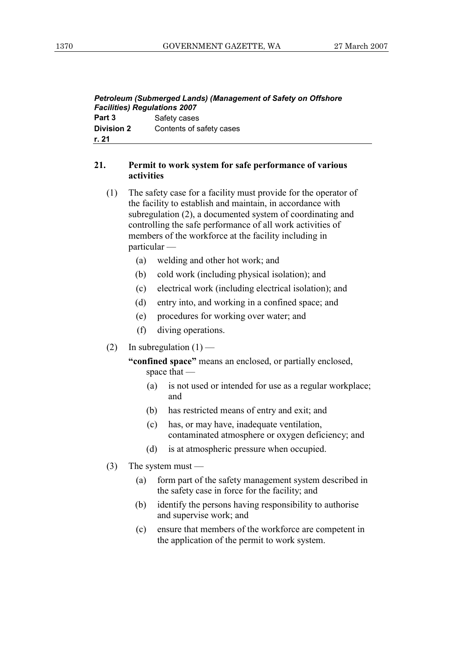| <b>Facilities) Regulations 2007</b> | Petroleum (Submerged Lands) (Management of Safety on Offshore |
|-------------------------------------|---------------------------------------------------------------|
| Part 3                              | Safety cases                                                  |
| Division 2                          | Contents of safety cases                                      |
| r. 21                               |                                                               |

#### **21. Permit to work system for safe performance of various activities**

- (1) The safety case for a facility must provide for the operator of the facility to establish and maintain, in accordance with subregulation (2), a documented system of coordinating and controlling the safe performance of all work activities of members of the workforce at the facility including in particular —
	- (a) welding and other hot work; and
	- (b) cold work (including physical isolation); and
	- (c) electrical work (including electrical isolation); and
	- (d) entry into, and working in a confined space; and
	- (e) procedures for working over water; and
	- (f) diving operations.
- (2) In subregulation  $(1)$  —

 **"confined space"** means an enclosed, or partially enclosed, space that —

- (a) is not used or intended for use as a regular workplace; and
- (b) has restricted means of entry and exit; and
- (c) has, or may have, inadequate ventilation, contaminated atmosphere or oxygen deficiency; and
- (d) is at atmospheric pressure when occupied.
- (3) The system must
	- (a) form part of the safety management system described in the safety case in force for the facility; and
	- (b) identify the persons having responsibility to authorise and supervise work; and
	- (c) ensure that members of the workforce are competent in the application of the permit to work system.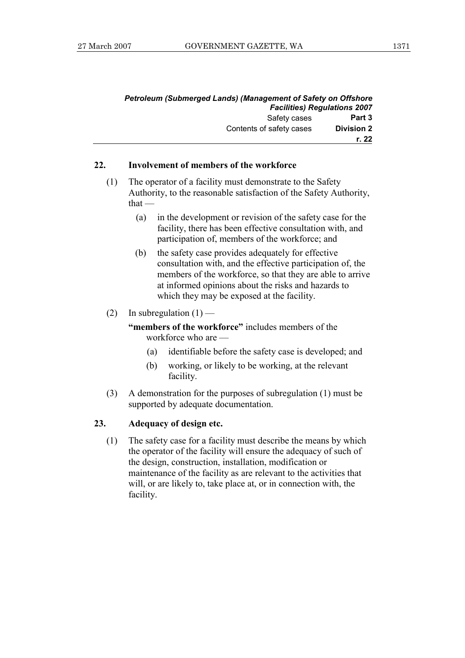| <b>Petroleum (Submerged Lands) (Management of Safety on Offshore</b> |                                     |  |
|----------------------------------------------------------------------|-------------------------------------|--|
|                                                                      | <b>Facilities) Regulations 2007</b> |  |
| Safety cases                                                         | Part 3                              |  |
| Contents of safety cases                                             | <b>Division 2</b>                   |  |
|                                                                      | r. 22                               |  |

#### **22. Involvement of members of the workforce**

- (1) The operator of a facility must demonstrate to the Safety Authority, to the reasonable satisfaction of the Safety Authority,  $that -$ 
	- (a) in the development or revision of the safety case for the facility, there has been effective consultation with, and participation of, members of the workforce; and
	- (b) the safety case provides adequately for effective consultation with, and the effective participation of, the members of the workforce, so that they are able to arrive at informed opinions about the risks and hazards to which they may be exposed at the facility.
- (2) In subregulation  $(1)$  —

 **"members of the workforce"** includes members of the workforce who are —

- (a) identifiable before the safety case is developed; and
- (b) working, or likely to be working, at the relevant facility.
- (3) A demonstration for the purposes of subregulation (1) must be supported by adequate documentation.

#### **23. Adequacy of design etc.**

 (1) The safety case for a facility must describe the means by which the operator of the facility will ensure the adequacy of such of the design, construction, installation, modification or maintenance of the facility as are relevant to the activities that will, or are likely to, take place at, or in connection with, the facility.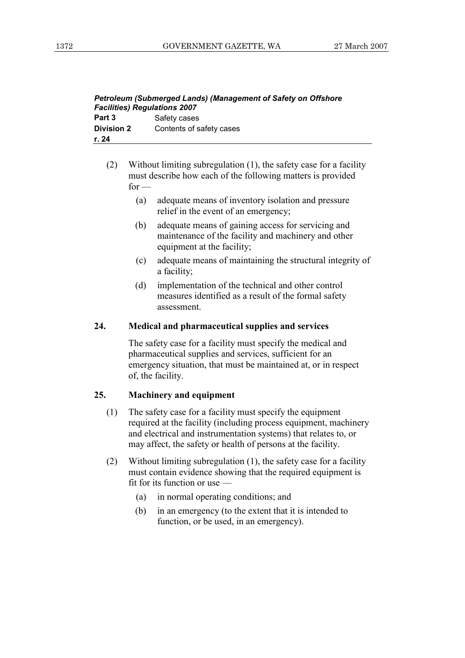| Petroleum (Submerged Lands) (Management of Safety on Offshore |                          |
|---------------------------------------------------------------|--------------------------|
| <b>Facilities) Regulations 2007</b>                           |                          |
| Part 3                                                        | Safety cases             |
| <b>Division 2</b>                                             | Contents of safety cases |
| r. 24                                                         |                          |

- (2) Without limiting subregulation (1), the safety case for a facility must describe how each of the following matters is provided  $for -$ 
	- (a) adequate means of inventory isolation and pressure relief in the event of an emergency;
	- (b) adequate means of gaining access for servicing and maintenance of the facility and machinery and other equipment at the facility;
	- (c) adequate means of maintaining the structural integrity of a facility;
	- (d) implementation of the technical and other control measures identified as a result of the formal safety assessment.

#### **24. Medical and pharmaceutical supplies and services**

 The safety case for a facility must specify the medical and pharmaceutical supplies and services, sufficient for an emergency situation, that must be maintained at, or in respect of, the facility.

#### **25. Machinery and equipment**

- (1) The safety case for a facility must specify the equipment required at the facility (including process equipment, machinery and electrical and instrumentation systems) that relates to, or may affect, the safety or health of persons at the facility.
- (2) Without limiting subregulation (1), the safety case for a facility must contain evidence showing that the required equipment is fit for its function or use —
	- (a) in normal operating conditions; and
	- (b) in an emergency (to the extent that it is intended to function, or be used, in an emergency).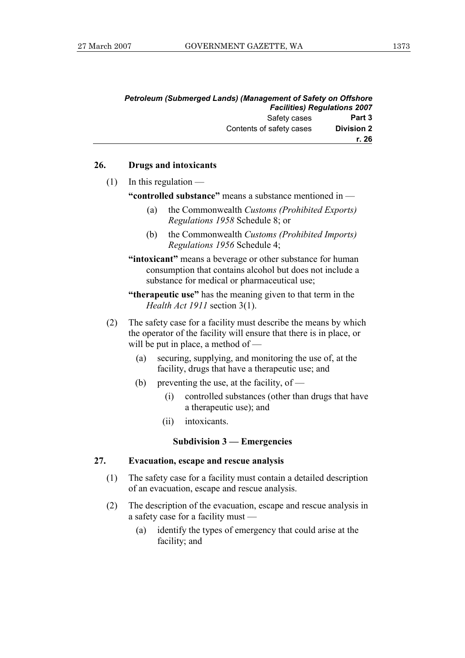| <b>Petroleum (Submerged Lands) (Management of Safety on Offshore</b> |                   |
|----------------------------------------------------------------------|-------------------|
| <b>Facilities) Regulations 2007</b>                                  |                   |
| Safety cases                                                         | Part 3            |
| Contents of safety cases                                             | <b>Division 2</b> |
|                                                                      | r. 26             |

#### **26. Drugs and intoxicants**

 $(1)$  In this regulation —

 **"controlled substance"** means a substance mentioned in —

- (a) the Commonwealth *Customs (Prohibited Exports) Regulations 1958* Schedule 8; or
- (b) the Commonwealth *Customs (Prohibited Imports) Regulations 1956* Schedule 4;

 **"intoxicant"** means a beverage or other substance for human consumption that contains alcohol but does not include a substance for medical or pharmaceutical use;

 **"therapeutic use"** has the meaning given to that term in the *Health Act 1911* section 3(1).

- (2) The safety case for a facility must describe the means by which the operator of the facility will ensure that there is in place, or will be put in place, a method of —
	- (a) securing, supplying, and monitoring the use of, at the facility, drugs that have a therapeutic use; and
	- (b) preventing the use, at the facility, of  $-$ 
		- (i) controlled substances (other than drugs that have a therapeutic use); and
		- (ii) intoxicants.

#### **Subdivision 3 — Emergencies**

#### **27. Evacuation, escape and rescue analysis**

- (1) The safety case for a facility must contain a detailed description of an evacuation, escape and rescue analysis.
- (2) The description of the evacuation, escape and rescue analysis in a safety case for a facility must —
	- (a) identify the types of emergency that could arise at the facility; and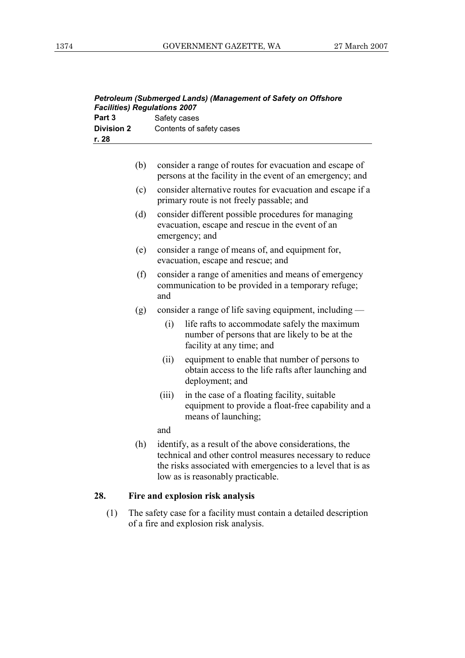| Petroleum (Submerged Lands) (Management of Safety on Offshore<br><b>Facilities) Regulations 2007</b> |                          |
|------------------------------------------------------------------------------------------------------|--------------------------|
| Part 3                                                                                               | Safety cases             |
| <b>Division 2</b>                                                                                    | Contents of safety cases |
| r. 28                                                                                                |                          |

| consider a range of routes for evacuation and escape of   |
|-----------------------------------------------------------|
| persons at the facility in the event of an emergency; and |

- (c) consider alternative routes for evacuation and escape if a primary route is not freely passable; and
- (d) consider different possible procedures for managing evacuation, escape and rescue in the event of an emergency; and
- (e) consider a range of means of, and equipment for, evacuation, escape and rescue; and
- (f) consider a range of amenities and means of emergency communication to be provided in a temporary refuge; and
- (g) consider a range of life saving equipment, including
	- (i) life rafts to accommodate safely the maximum number of persons that are likely to be at the facility at any time; and
	- (ii) equipment to enable that number of persons to obtain access to the life rafts after launching and deployment; and
	- (iii) in the case of a floating facility, suitable equipment to provide a float-free capability and a means of launching;

and

 (h) identify, as a result of the above considerations, the technical and other control measures necessary to reduce the risks associated with emergencies to a level that is as low as is reasonably practicable.

#### **28. Fire and explosion risk analysis**

 (1) The safety case for a facility must contain a detailed description of a fire and explosion risk analysis.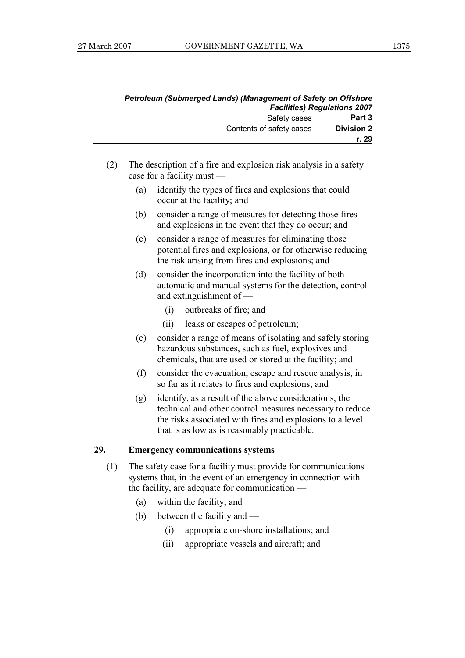| Petroleum (Submerged Lands) (Management of Safety on Offshore<br><b>Facilities) Regulations 2007</b> |  |
|------------------------------------------------------------------------------------------------------|--|
| Safety cases<br>Part 3                                                                               |  |
| <b>Division 2</b><br>Contents of safety cases                                                        |  |
| r. 29                                                                                                |  |

- (2) The description of a fire and explosion risk analysis in a safety case for a facility must —
	- (a) identify the types of fires and explosions that could occur at the facility; and
	- (b) consider a range of measures for detecting those fires and explosions in the event that they do occur; and
	- (c) consider a range of measures for eliminating those potential fires and explosions, or for otherwise reducing the risk arising from fires and explosions; and
	- (d) consider the incorporation into the facility of both automatic and manual systems for the detection, control and extinguishment of —
		- (i) outbreaks of fire; and
		- (ii) leaks or escapes of petroleum;
	- (e) consider a range of means of isolating and safely storing hazardous substances, such as fuel, explosives and chemicals, that are used or stored at the facility; and
	- (f) consider the evacuation, escape and rescue analysis, in so far as it relates to fires and explosions; and
	- (g) identify, as a result of the above considerations, the technical and other control measures necessary to reduce the risks associated with fires and explosions to a level that is as low as is reasonably practicable.

#### **29. Emergency communications systems**

- (1) The safety case for a facility must provide for communications systems that, in the event of an emergency in connection with the facility, are adequate for communication —
	- (a) within the facility; and
	- (b) between the facility and
		- (i) appropriate on-shore installations; and
		- (ii) appropriate vessels and aircraft; and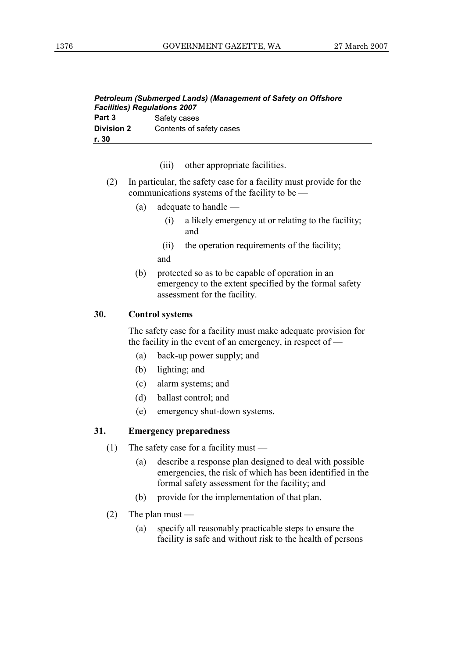| Petroleum (Submerged Lands) (Management of Safety on Offshore<br><b>Facilities) Regulations 2007</b> |                          |
|------------------------------------------------------------------------------------------------------|--------------------------|
| Part 3                                                                                               | Safety cases             |
| <b>Division 2</b>                                                                                    | Contents of safety cases |
| r. 30                                                                                                |                          |

- (iii) other appropriate facilities.
- (2) In particular, the safety case for a facility must provide for the communications systems of the facility to be —
	- (a) adequate to handle
		- (i) a likely emergency at or relating to the facility; and
		- (ii) the operation requirements of the facility; and
	- (b) protected so as to be capable of operation in an emergency to the extent specified by the formal safety assessment for the facility.

#### **30. Control systems**

 The safety case for a facility must make adequate provision for the facility in the event of an emergency, in respect of —

- (a) back-up power supply; and
- (b) lighting; and
- (c) alarm systems; and
- (d) ballast control; and
- (e) emergency shut-down systems.

#### **31. Emergency preparedness**

- (1) The safety case for a facility must
	- (a) describe a response plan designed to deal with possible emergencies, the risk of which has been identified in the formal safety assessment for the facility; and
	- (b) provide for the implementation of that plan.
- (2) The plan must
	- (a) specify all reasonably practicable steps to ensure the facility is safe and without risk to the health of persons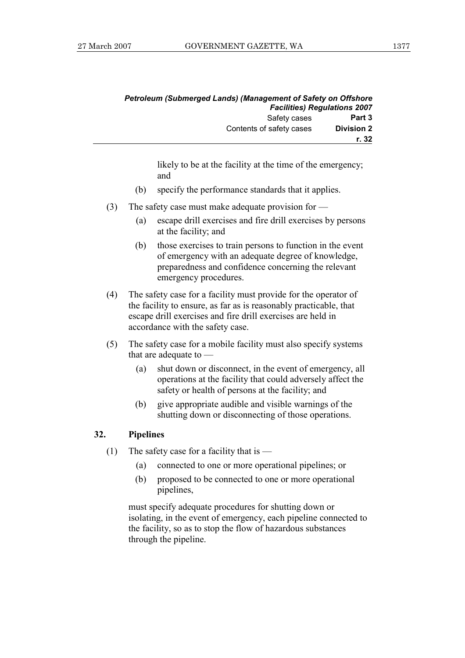| <b>Facilities) Regulations 2007</b> | <b>Petroleum (Submerged Lands) (Management of Safety on Offshore</b> |
|-------------------------------------|----------------------------------------------------------------------|
| Part 3                              | Safety cases                                                         |
| <b>Division 2</b>                   | Contents of safety cases                                             |
| r. 32                               |                                                                      |

likely to be at the facility at the time of the emergency; and

- (b) specify the performance standards that it applies.
- (3) The safety case must make adequate provision for
	- (a) escape drill exercises and fire drill exercises by persons at the facility; and
	- (b) those exercises to train persons to function in the event of emergency with an adequate degree of knowledge, preparedness and confidence concerning the relevant emergency procedures.
- (4) The safety case for a facility must provide for the operator of the facility to ensure, as far as is reasonably practicable, that escape drill exercises and fire drill exercises are held in accordance with the safety case.
- (5) The safety case for a mobile facility must also specify systems that are adequate to —
	- (a) shut down or disconnect, in the event of emergency, all operations at the facility that could adversely affect the safety or health of persons at the facility; and
	- (b) give appropriate audible and visible warnings of the shutting down or disconnecting of those operations.

#### **32. Pipelines**

- (1) The safety case for a facility that is  $-$ 
	- (a) connected to one or more operational pipelines; or
	- (b) proposed to be connected to one or more operational pipelines,

 must specify adequate procedures for shutting down or isolating, in the event of emergency, each pipeline connected to the facility, so as to stop the flow of hazardous substances through the pipeline.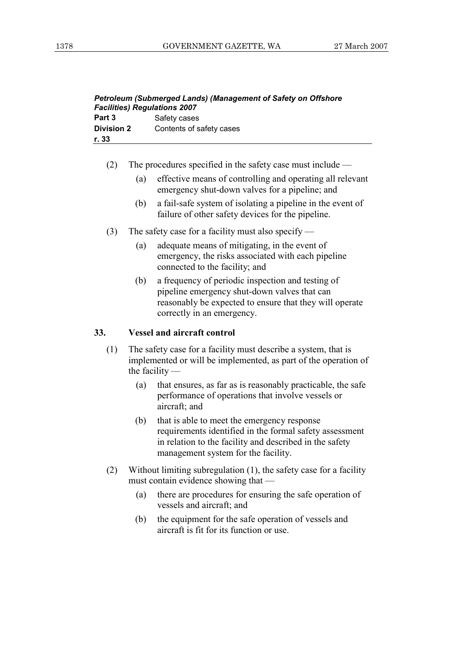| Petroleum (Submerged Lands) (Management of Safety on Offshore<br><b>Facilities) Regulations 2007</b> |                          |
|------------------------------------------------------------------------------------------------------|--------------------------|
| Part 3                                                                                               | Safety cases             |
| <b>Division 2</b>                                                                                    | Contents of safety cases |
| r. 33                                                                                                |                          |

- (2) The procedures specified in the safety case must include
	- (a) effective means of controlling and operating all relevant emergency shut-down valves for a pipeline; and
	- (b) a fail-safe system of isolating a pipeline in the event of failure of other safety devices for the pipeline.
- (3) The safety case for a facility must also specify
	- (a) adequate means of mitigating, in the event of emergency, the risks associated with each pipeline connected to the facility; and
	- (b) a frequency of periodic inspection and testing of pipeline emergency shut-down valves that can reasonably be expected to ensure that they will operate correctly in an emergency.

#### **33. Vessel and aircraft control**

- (1) The safety case for a facility must describe a system, that is implemented or will be implemented, as part of the operation of the facility —
	- (a) that ensures, as far as is reasonably practicable, the safe performance of operations that involve vessels or aircraft; and
	- (b) that is able to meet the emergency response requirements identified in the formal safety assessment in relation to the facility and described in the safety management system for the facility.
- (2) Without limiting subregulation (1), the safety case for a facility must contain evidence showing that —
	- (a) there are procedures for ensuring the safe operation of vessels and aircraft; and
	- (b) the equipment for the safe operation of vessels and aircraft is fit for its function or use.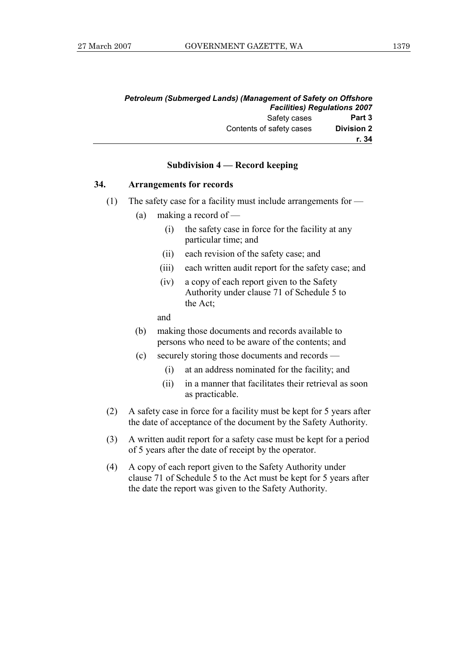| <b>Petroleum (Submerged Lands) (Management of Safety on Offshore</b> |                   |
|----------------------------------------------------------------------|-------------------|
| <b>Facilities) Regulations 2007</b>                                  |                   |
| Safety cases                                                         | Part 3            |
| Contents of safety cases                                             | <b>Division 2</b> |
|                                                                      | r. 34             |

#### **Subdivision 4 — Record keeping**

#### **34. Arrangements for records**

- (1) The safety case for a facility must include arrangements for
	- (a) making a record of
		- (i) the safety case in force for the facility at any particular time; and
		- (ii) each revision of the safety case; and
		- (iii) each written audit report for the safety case; and
		- (iv) a copy of each report given to the Safety Authority under clause 71 of Schedule 5 to the Act;

and

- (b) making those documents and records available to persons who need to be aware of the contents; and
- (c) securely storing those documents and records
	- (i) at an address nominated for the facility; and
	- (ii) in a manner that facilitates their retrieval as soon as practicable.
- (2) A safety case in force for a facility must be kept for 5 years after the date of acceptance of the document by the Safety Authority.
- (3) A written audit report for a safety case must be kept for a period of 5 years after the date of receipt by the operator.
- (4) A copy of each report given to the Safety Authority under clause 71 of Schedule 5 to the Act must be kept for 5 years after the date the report was given to the Safety Authority.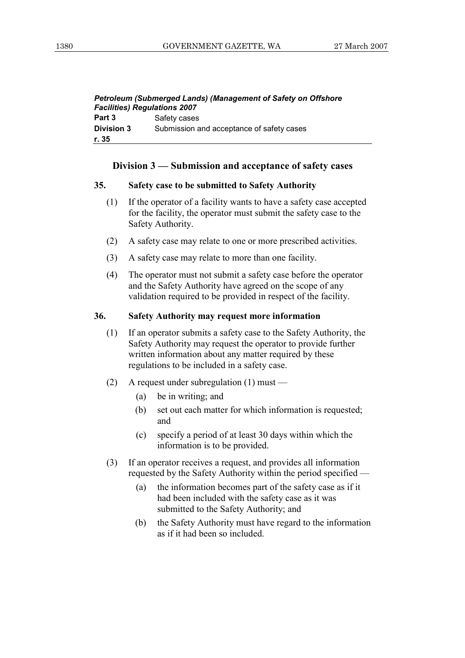| Petroleum (Submerged Lands) (Management of Safety on Offshore |                                           |
|---------------------------------------------------------------|-------------------------------------------|
| <b>Facilities) Regulations 2007</b>                           |                                           |
| Part 3                                                        | Safety cases                              |
| <b>Division 3</b>                                             | Submission and acceptance of safety cases |
| r. 35                                                         |                                           |

#### **Division 3 — Submission and acceptance of safety cases**

#### **35. Safety case to be submitted to Safety Authority**

- (1) If the operator of a facility wants to have a safety case accepted for the facility, the operator must submit the safety case to the Safety Authority.
- (2) A safety case may relate to one or more prescribed activities.
- (3) A safety case may relate to more than one facility.
- (4) The operator must not submit a safety case before the operator and the Safety Authority have agreed on the scope of any validation required to be provided in respect of the facility.

#### **36. Safety Authority may request more information**

- (1) If an operator submits a safety case to the Safety Authority, the Safety Authority may request the operator to provide further written information about any matter required by these regulations to be included in a safety case.
- (2) A request under subregulation (1) must
	- (a) be in writing; and
	- (b) set out each matter for which information is requested; and
	- (c) specify a period of at least 30 days within which the information is to be provided.
- (3) If an operator receives a request, and provides all information requested by the Safety Authority within the period specified —
	- (a) the information becomes part of the safety case as if it had been included with the safety case as it was submitted to the Safety Authority; and
	- (b) the Safety Authority must have regard to the information as if it had been so included.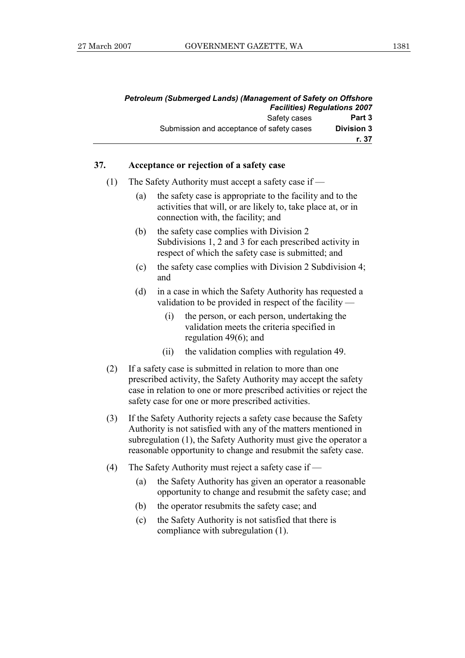| <b>Facilities) Regulations 2007</b> | Petroleum (Submerged Lands) (Management of Safety on Offshore |
|-------------------------------------|---------------------------------------------------------------|
| Safety cases<br>Part 3              |                                                               |
| <b>Division 3</b>                   | Submission and acceptance of safety cases                     |
| r. 37                               |                                                               |

#### **37. Acceptance or rejection of a safety case**

- (1) The Safety Authority must accept a safety case if
	- (a) the safety case is appropriate to the facility and to the activities that will, or are likely to, take place at, or in connection with, the facility; and
	- (b) the safety case complies with Division 2 Subdivisions 1, 2 and 3 for each prescribed activity in respect of which the safety case is submitted; and
	- (c) the safety case complies with Division 2 Subdivision 4; and
	- (d) in a case in which the Safety Authority has requested a validation to be provided in respect of the facility —
		- (i) the person, or each person, undertaking the validation meets the criteria specified in regulation 49(6); and
		- (ii) the validation complies with regulation 49.
- (2) If a safety case is submitted in relation to more than one prescribed activity, the Safety Authority may accept the safety case in relation to one or more prescribed activities or reject the safety case for one or more prescribed activities.
- (3) If the Safety Authority rejects a safety case because the Safety Authority is not satisfied with any of the matters mentioned in subregulation (1), the Safety Authority must give the operator a reasonable opportunity to change and resubmit the safety case.
- (4) The Safety Authority must reject a safety case if
	- (a) the Safety Authority has given an operator a reasonable opportunity to change and resubmit the safety case; and
	- (b) the operator resubmits the safety case; and
	- (c) the Safety Authority is not satisfied that there is compliance with subregulation (1).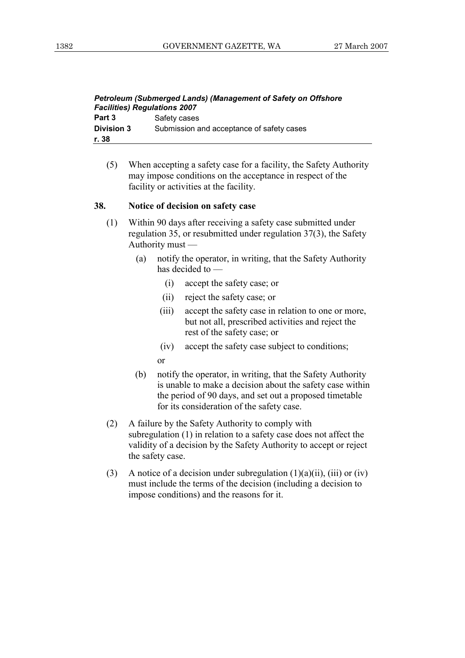| Petroleum (Submerged Lands) (Management of Safety on Offshore<br><b>Facilities) Regulations 2007</b> |                                           |  |
|------------------------------------------------------------------------------------------------------|-------------------------------------------|--|
| Part 3                                                                                               | Safety cases                              |  |
| <b>Division 3</b>                                                                                    | Submission and acceptance of safety cases |  |
| r. 38                                                                                                |                                           |  |

 (5) When accepting a safety case for a facility, the Safety Authority may impose conditions on the acceptance in respect of the facility or activities at the facility.

#### **38. Notice of decision on safety case**

- (1) Within 90 days after receiving a safety case submitted under regulation 35, or resubmitted under regulation 37(3), the Safety Authority must —
	- (a) notify the operator, in writing, that the Safety Authority has decided to —
		- (i) accept the safety case; or
		- (ii) reject the safety case; or
		- (iii) accept the safety case in relation to one or more, but not all, prescribed activities and reject the rest of the safety case; or
		- (iv) accept the safety case subject to conditions;
		- or
	- (b) notify the operator, in writing, that the Safety Authority is unable to make a decision about the safety case within the period of 90 days, and set out a proposed timetable for its consideration of the safety case.
- (2) A failure by the Safety Authority to comply with subregulation (1) in relation to a safety case does not affect the validity of a decision by the Safety Authority to accept or reject the safety case.
- (3) A notice of a decision under subregulation  $(1)(a)(ii)$ ,  $(iii)$  or  $(iv)$ must include the terms of the decision (including a decision to impose conditions) and the reasons for it.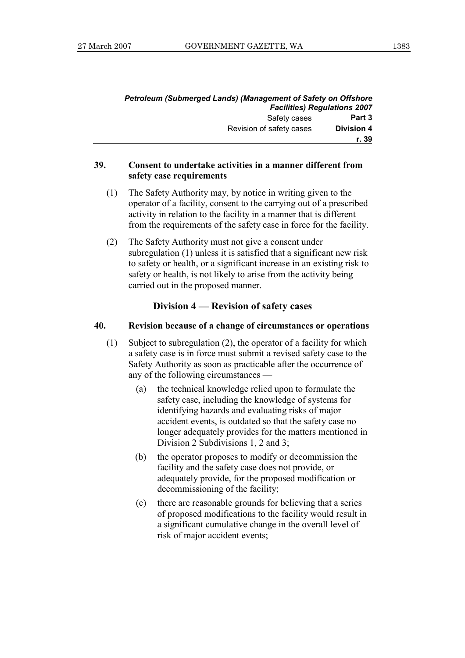| Petroleum (Submerged Lands) (Management of Safety on Offshore |                   |
|---------------------------------------------------------------|-------------------|
| <b>Facilities) Regulations 2007</b>                           |                   |
| Safety cases                                                  | Part 3            |
| Revision of safety cases                                      | <b>Division 4</b> |
|                                                               | r. 39             |

#### **39. Consent to undertake activities in a manner different from safety case requirements**

- (1) The Safety Authority may, by notice in writing given to the operator of a facility, consent to the carrying out of a prescribed activity in relation to the facility in a manner that is different from the requirements of the safety case in force for the facility.
- (2) The Safety Authority must not give a consent under subregulation (1) unless it is satisfied that a significant new risk to safety or health, or a significant increase in an existing risk to safety or health, is not likely to arise from the activity being carried out in the proposed manner.

#### **Division 4 — Revision of safety cases**

#### **40. Revision because of a change of circumstances or operations**

- (1) Subject to subregulation (2), the operator of a facility for which a safety case is in force must submit a revised safety case to the Safety Authority as soon as practicable after the occurrence of any of the following circumstances —
	- (a) the technical knowledge relied upon to formulate the safety case, including the knowledge of systems for identifying hazards and evaluating risks of major accident events, is outdated so that the safety case no longer adequately provides for the matters mentioned in Division 2 Subdivisions 1, 2 and 3;
	- (b) the operator proposes to modify or decommission the facility and the safety case does not provide, or adequately provide, for the proposed modification or decommissioning of the facility;
	- (c) there are reasonable grounds for believing that a series of proposed modifications to the facility would result in a significant cumulative change in the overall level of risk of major accident events;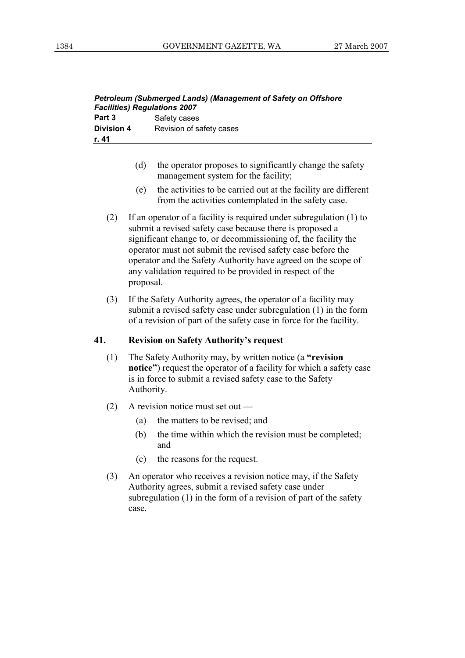| Petroleum (Submerged Lands) (Management of Safety on Offshore<br><b>Facilities) Regulations 2007</b> |                          |  |  |  |
|------------------------------------------------------------------------------------------------------|--------------------------|--|--|--|
| Part 3                                                                                               | Safety cases             |  |  |  |
| <b>Division 4</b>                                                                                    | Revision of safety cases |  |  |  |
| r. 41                                                                                                |                          |  |  |  |

- (d) the operator proposes to significantly change the safety management system for the facility;
- (e) the activities to be carried out at the facility are different from the activities contemplated in the safety case.
- (2) If an operator of a facility is required under subregulation (1) to submit a revised safety case because there is proposed a significant change to, or decommissioning of, the facility the operator must not submit the revised safety case before the operator and the Safety Authority have agreed on the scope of any validation required to be provided in respect of the proposal.
- (3) If the Safety Authority agrees, the operator of a facility may submit a revised safety case under subregulation (1) in the form of a revision of part of the safety case in force for the facility.

#### **41. Revision on Safety Authority's request**

- (1) The Safety Authority may, by written notice (a **"revision notice"**) request the operator of a facility for which a safety case is in force to submit a revised safety case to the Safety Authority.
- (2) A revision notice must set out
	- (a) the matters to be revised; and
	- (b) the time within which the revision must be completed; and
	- (c) the reasons for the request.
- (3) An operator who receives a revision notice may, if the Safety Authority agrees, submit a revised safety case under subregulation (1) in the form of a revision of part of the safety case.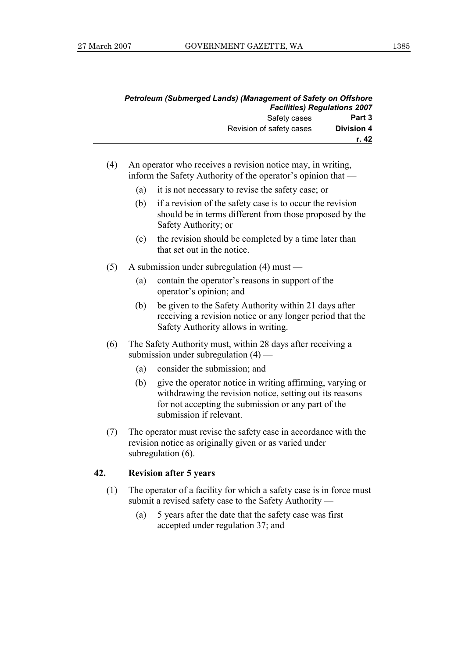|                   | Petroleum (Submerged Lands) (Management of Safety on Offshore |
|-------------------|---------------------------------------------------------------|
|                   | <b>Facilities) Regulations 2007</b>                           |
| Part 3            | Safety cases                                                  |
| <b>Division 4</b> | Revision of safety cases                                      |
| r. 42             |                                                               |

- (4) An operator who receives a revision notice may, in writing, inform the Safety Authority of the operator's opinion that —
	- (a) it is not necessary to revise the safety case; or
	- (b) if a revision of the safety case is to occur the revision should be in terms different from those proposed by the Safety Authority; or
	- (c) the revision should be completed by a time later than that set out in the notice.
- (5) A submission under subregulation (4) must
	- (a) contain the operator's reasons in support of the operator's opinion; and
	- (b) be given to the Safety Authority within 21 days after receiving a revision notice or any longer period that the Safety Authority allows in writing.
- (6) The Safety Authority must, within 28 days after receiving a submission under subregulation  $(4)$  —
	- (a) consider the submission; and
	- (b) give the operator notice in writing affirming, varying or withdrawing the revision notice, setting out its reasons for not accepting the submission or any part of the submission if relevant.
- (7) The operator must revise the safety case in accordance with the revision notice as originally given or as varied under subregulation (6).

#### **42. Revision after 5 years**

- (1) The operator of a facility for which a safety case is in force must submit a revised safety case to the Safety Authority —
	- (a) 5 years after the date that the safety case was first accepted under regulation 37; and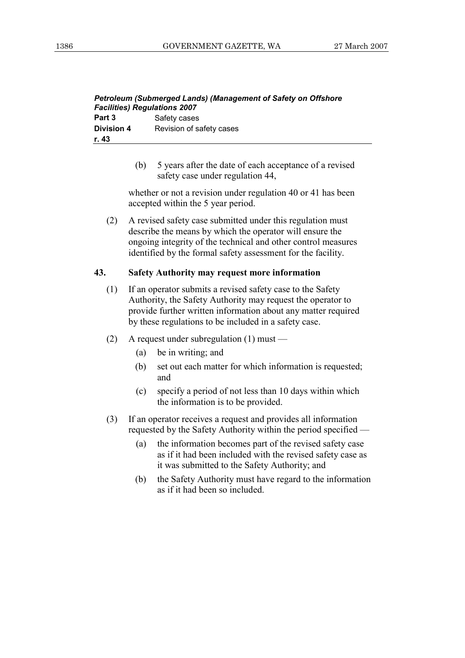| <b>Petroleum (Submerged Lands) (Management of Safety on Offshore</b><br><b>Facilities) Regulations 2007</b> |                          |  |  |  |
|-------------------------------------------------------------------------------------------------------------|--------------------------|--|--|--|
| Part 3                                                                                                      | Safety cases             |  |  |  |
| <b>Division 4</b>                                                                                           | Revision of safety cases |  |  |  |
| r. 43                                                                                                       |                          |  |  |  |

 (b) 5 years after the date of each acceptance of a revised safety case under regulation 44,

 whether or not a revision under regulation 40 or 41 has been accepted within the 5 year period.

 (2) A revised safety case submitted under this regulation must describe the means by which the operator will ensure the ongoing integrity of the technical and other control measures identified by the formal safety assessment for the facility.

#### **43. Safety Authority may request more information**

- (1) If an operator submits a revised safety case to the Safety Authority, the Safety Authority may request the operator to provide further written information about any matter required by these regulations to be included in a safety case.
- (2) A request under subregulation (1) must
	- (a) be in writing; and
	- (b) set out each matter for which information is requested; and
	- (c) specify a period of not less than 10 days within which the information is to be provided.
- (3) If an operator receives a request and provides all information requested by the Safety Authority within the period specified —
	- (a) the information becomes part of the revised safety case as if it had been included with the revised safety case as it was submitted to the Safety Authority; and
	- (b) the Safety Authority must have regard to the information as if it had been so included.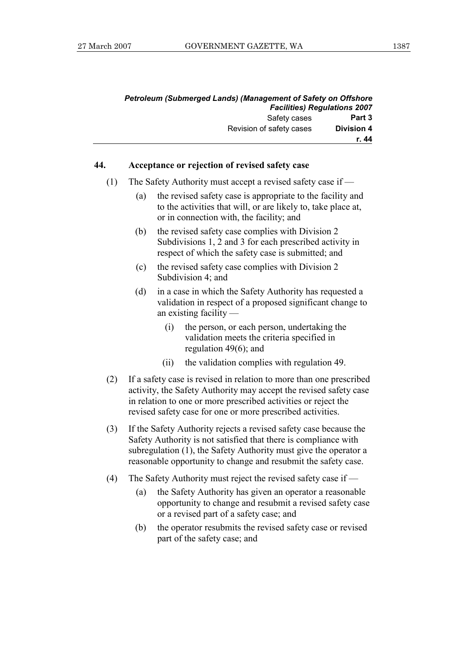| <b>Petroleum (Submerged Lands) (Management of Safety on Offshore</b> |                   |
|----------------------------------------------------------------------|-------------------|
| <b>Facilities) Regulations 2007</b>                                  |                   |
| Safety cases                                                         | Part 3            |
| Revision of safety cases                                             | <b>Division 4</b> |
|                                                                      | r. 44             |

#### **44. Acceptance or rejection of revised safety case**

- (1) The Safety Authority must accept a revised safety case if
	- (a) the revised safety case is appropriate to the facility and to the activities that will, or are likely to, take place at, or in connection with, the facility; and
	- (b) the revised safety case complies with Division 2 Subdivisions 1, 2 and 3 for each prescribed activity in respect of which the safety case is submitted; and
	- (c) the revised safety case complies with Division 2 Subdivision 4; and
	- (d) in a case in which the Safety Authority has requested a validation in respect of a proposed significant change to an existing facility —
		- (i) the person, or each person, undertaking the validation meets the criteria specified in regulation 49(6); and
		- (ii) the validation complies with regulation 49.
- (2) If a safety case is revised in relation to more than one prescribed activity, the Safety Authority may accept the revised safety case in relation to one or more prescribed activities or reject the revised safety case for one or more prescribed activities.
- (3) If the Safety Authority rejects a revised safety case because the Safety Authority is not satisfied that there is compliance with subregulation (1), the Safety Authority must give the operator a reasonable opportunity to change and resubmit the safety case.
- (4) The Safety Authority must reject the revised safety case if
	- (a) the Safety Authority has given an operator a reasonable opportunity to change and resubmit a revised safety case or a revised part of a safety case; and
	- (b) the operator resubmits the revised safety case or revised part of the safety case; and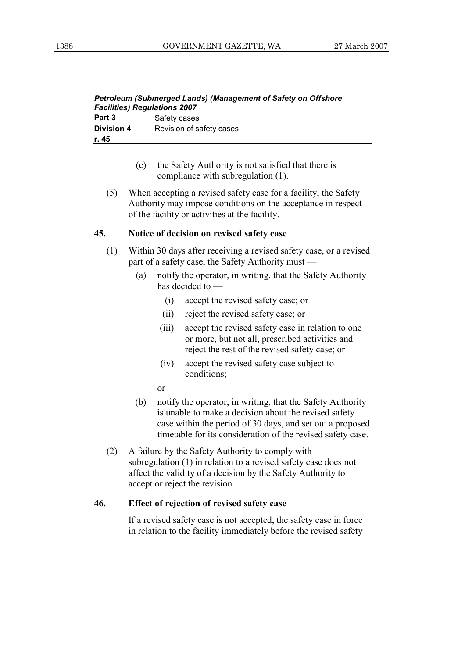| <b>Petroleum (Submerged Lands) (Management of Safety on Offshore</b><br><b>Facilities) Regulations 2007</b> |                          |  |  |  |
|-------------------------------------------------------------------------------------------------------------|--------------------------|--|--|--|
| Part 3                                                                                                      | Safety cases             |  |  |  |
| <b>Division 4</b>                                                                                           | Revision of safety cases |  |  |  |
| r. 45                                                                                                       |                          |  |  |  |

- (c) the Safety Authority is not satisfied that there is compliance with subregulation (1).
- (5) When accepting a revised safety case for a facility, the Safety Authority may impose conditions on the acceptance in respect of the facility or activities at the facility.

#### **45. Notice of decision on revised safety case**

- (1) Within 30 days after receiving a revised safety case, or a revised part of a safety case, the Safety Authority must —
	- (a) notify the operator, in writing, that the Safety Authority has decided to —
		- (i) accept the revised safety case; or
		- (ii) reject the revised safety case; or
		- (iii) accept the revised safety case in relation to one or more, but not all, prescribed activities and reject the rest of the revised safety case; or
		- (iv) accept the revised safety case subject to conditions;
		- or
	- (b) notify the operator, in writing, that the Safety Authority is unable to make a decision about the revised safety case within the period of 30 days, and set out a proposed timetable for its consideration of the revised safety case.
- (2) A failure by the Safety Authority to comply with subregulation (1) in relation to a revised safety case does not affect the validity of a decision by the Safety Authority to accept or reject the revision.

#### **46. Effect of rejection of revised safety case**

 If a revised safety case is not accepted, the safety case in force in relation to the facility immediately before the revised safety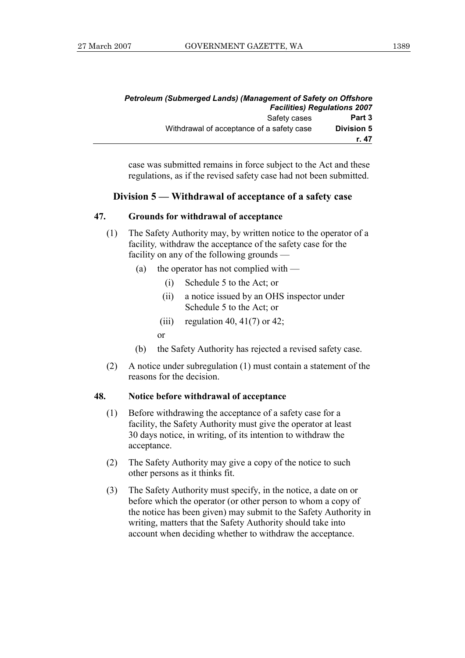|                   | <b>Petroleum (Submerged Lands) (Management of Safety on Offshore</b><br><b>Facilities) Regulations 2007</b> |  |  |
|-------------------|-------------------------------------------------------------------------------------------------------------|--|--|
| Part 3            | Safety cases                                                                                                |  |  |
| <b>Division 5</b> | Withdrawal of acceptance of a safety case                                                                   |  |  |
| r. 47             |                                                                                                             |  |  |

case was submitted remains in force subject to the Act and these regulations, as if the revised safety case had not been submitted.

#### **Division 5 — Withdrawal of acceptance of a safety case**

#### **47. Grounds for withdrawal of acceptance**

- (1) The Safety Authority may, by written notice to the operator of a facility*,* withdraw the acceptance of the safety case for the facility on any of the following grounds —
	- (a) the operator has not complied with
		- (i) Schedule 5 to the Act; or
		- (ii) a notice issued by an OHS inspector under Schedule 5 to the Act; or
		- (iii) regulation 40, 41(7) or 42;

or

- (b) the Safety Authority has rejected a revised safety case.
- (2) A notice under subregulation (1) must contain a statement of the reasons for the decision.

#### **48. Notice before withdrawal of acceptance**

- (1) Before withdrawing the acceptance of a safety case for a facility, the Safety Authority must give the operator at least 30 days notice, in writing, of its intention to withdraw the acceptance.
- (2) The Safety Authority may give a copy of the notice to such other persons as it thinks fit.
- (3) The Safety Authority must specify, in the notice, a date on or before which the operator (or other person to whom a copy of the notice has been given) may submit to the Safety Authority in writing, matters that the Safety Authority should take into account when deciding whether to withdraw the acceptance.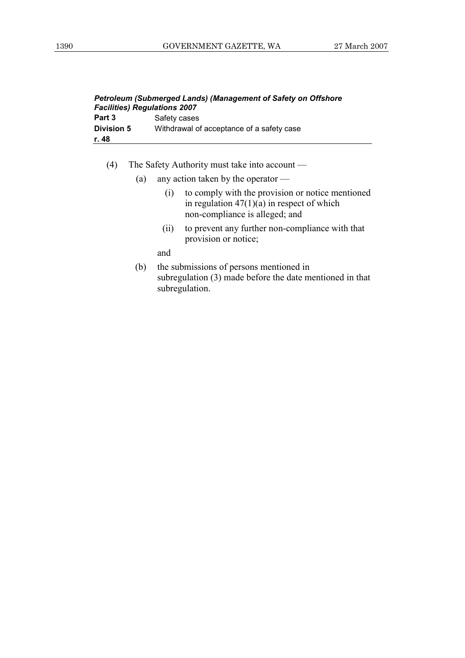| <b>Petroleum (Submerged Lands) (Management of Safety on Offshore</b><br><b>Facilities) Regulations 2007</b> |                                           |  |  |
|-------------------------------------------------------------------------------------------------------------|-------------------------------------------|--|--|
| Part 3                                                                                                      | Safety cases                              |  |  |
| <b>Division 5</b>                                                                                           | Withdrawal of acceptance of a safety case |  |  |
| r. 48                                                                                                       |                                           |  |  |

- (4) The Safety Authority must take into account
	- (a) any action taken by the operator
		- (i) to comply with the provision or notice mentioned in regulation  $47(1)(a)$  in respect of which non-compliance is alleged; and
		- (ii) to prevent any further non-compliance with that provision or notice;

and

 (b) the submissions of persons mentioned in subregulation (3) made before the date mentioned in that subregulation.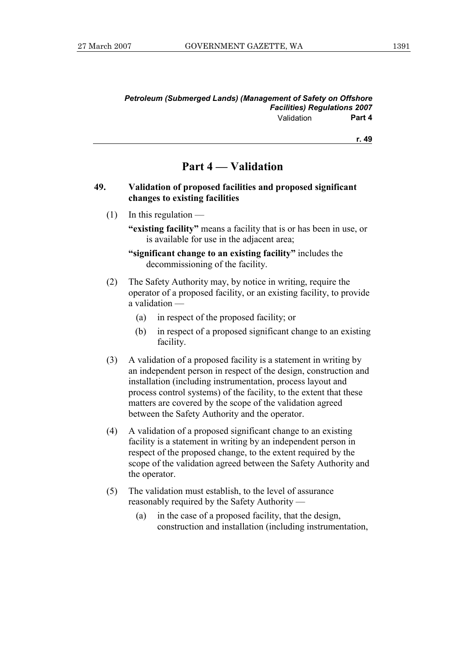#### *Petroleum (Submerged Lands) (Management of Safety on Offshore Facilities) Regulations 2007*  Validation **Part 4**

**r. 49**

### **Part 4 — Validation**

#### **49. Validation of proposed facilities and proposed significant changes to existing facilities**

 $(1)$  In this regulation —

 **"existing facility"** means a facility that is or has been in use, or is available for use in the adjacent area;

 **"significant change to an existing facility"** includes the decommissioning of the facility.

- (2) The Safety Authority may, by notice in writing, require the operator of a proposed facility, or an existing facility, to provide a validation —
	- (a) in respect of the proposed facility; or
	- (b) in respect of a proposed significant change to an existing facility.
- (3) A validation of a proposed facility is a statement in writing by an independent person in respect of the design, construction and installation (including instrumentation, process layout and process control systems) of the facility, to the extent that these matters are covered by the scope of the validation agreed between the Safety Authority and the operator.
- (4) A validation of a proposed significant change to an existing facility is a statement in writing by an independent person in respect of the proposed change, to the extent required by the scope of the validation agreed between the Safety Authority and the operator.
- (5) The validation must establish, to the level of assurance reasonably required by the Safety Authority —
	- (a) in the case of a proposed facility, that the design, construction and installation (including instrumentation,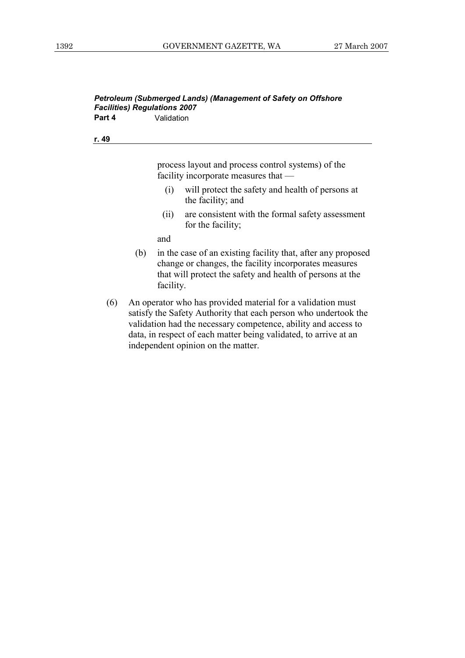#### *Petroleum (Submerged Lands) (Management of Safety on Offshore Facilities) Regulations 2007*  **Part 4 Validation**

**r. 49**

process layout and process control systems) of the facility incorporate measures that —

- (i) will protect the safety and health of persons at the facility; and
- (ii) are consistent with the formal safety assessment for the facility;

and

- (b) in the case of an existing facility that, after any proposed change or changes, the facility incorporates measures that will protect the safety and health of persons at the facility.
- (6) An operator who has provided material for a validation must satisfy the Safety Authority that each person who undertook the validation had the necessary competence, ability and access to data, in respect of each matter being validated, to arrive at an independent opinion on the matter.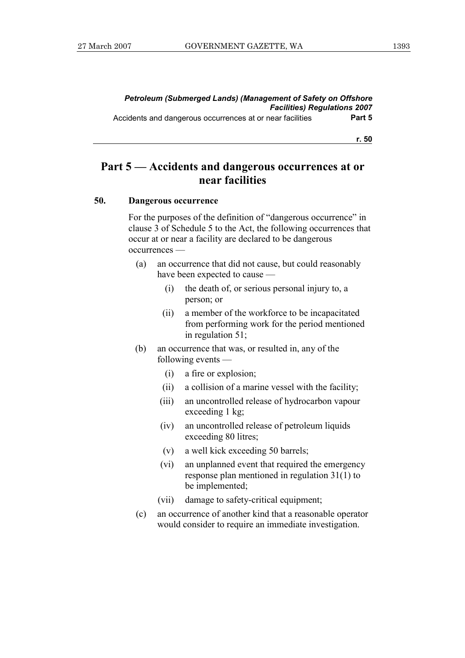### **Part 5 — Accidents and dangerous occurrences at or near facilities**

#### **50. Dangerous occurrence**

 For the purposes of the definition of "dangerous occurrence" in clause 3 of Schedule 5 to the Act, the following occurrences that occur at or near a facility are declared to be dangerous occurrences —

- (a) an occurrence that did not cause, but could reasonably have been expected to cause —
	- (i) the death of, or serious personal injury to, a person; or
	- (ii) a member of the workforce to be incapacitated from performing work for the period mentioned in regulation 51;
- (b) an occurrence that was, or resulted in, any of the following events —
	- (i) a fire or explosion;
	- (ii) a collision of a marine vessel with the facility;
	- (iii) an uncontrolled release of hydrocarbon vapour exceeding 1 kg;
	- (iv) an uncontrolled release of petroleum liquids exceeding 80 litres;
	- (v) a well kick exceeding 50 barrels;
	- (vi) an unplanned event that required the emergency response plan mentioned in regulation 31(1) to be implemented;
	- (vii) damage to safety-critical equipment;
- (c) an occurrence of another kind that a reasonable operator would consider to require an immediate investigation.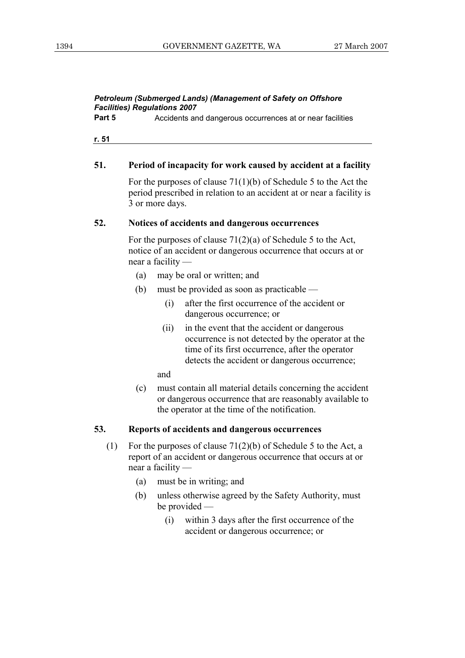**Part 5** Accidents and dangerous occurrences at or near facilities

**r. 51**

#### **51. Period of incapacity for work caused by accident at a facility**

 For the purposes of clause 71(1)(b) of Schedule 5 to the Act the period prescribed in relation to an accident at or near a facility is 3 or more days.

#### **52. Notices of accidents and dangerous occurrences**

 For the purposes of clause 71(2)(a) of Schedule 5 to the Act, notice of an accident or dangerous occurrence that occurs at or near a facility —

- (a) may be oral or written; and
- (b) must be provided as soon as practicable
	- (i) after the first occurrence of the accident or dangerous occurrence; or
	- (ii) in the event that the accident or dangerous occurrence is not detected by the operator at the time of its first occurrence, after the operator detects the accident or dangerous occurrence;

and

 (c) must contain all material details concerning the accident or dangerous occurrence that are reasonably available to the operator at the time of the notification.

#### **53. Reports of accidents and dangerous occurrences**

- (1) For the purposes of clause 71(2)(b) of Schedule 5 to the Act, a report of an accident or dangerous occurrence that occurs at or near a facility —
	- (a) must be in writing; and
	- (b) unless otherwise agreed by the Safety Authority, must be provided —
		- (i) within 3 days after the first occurrence of the accident or dangerous occurrence; or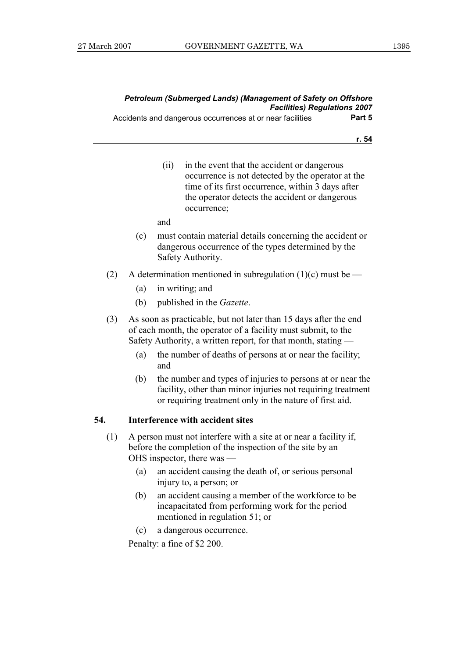|                                     | Petroleum (Submerged Lands) (Management of Safety on Offshore |
|-------------------------------------|---------------------------------------------------------------|
| <b>Facilities) Regulations 2007</b> |                                                               |
| Part 5                              | Accidents and dangerous occurrences at or near facilities     |

- **r. 54**
- (ii) in the event that the accident or dangerous occurrence is not detected by the operator at the time of its first occurrence, within 3 days after the operator detects the accident or dangerous occurrence;

and

- (c) must contain material details concerning the accident or dangerous occurrence of the types determined by the Safety Authority.
- (2) A determination mentioned in subregulation (1)(c) must be
	- (a) in writing; and
	- (b) published in the *Gazette*.
- (3) As soon as practicable, but not later than 15 days after the end of each month, the operator of a facility must submit, to the Safety Authority, a written report, for that month, stating —
	- (a) the number of deaths of persons at or near the facility; and
	- (b) the number and types of injuries to persons at or near the facility, other than minor injuries not requiring treatment or requiring treatment only in the nature of first aid.

#### **54. Interference with accident sites**

- (1) A person must not interfere with a site at or near a facility if, before the completion of the inspection of the site by an OHS inspector, there was —
	- (a) an accident causing the death of, or serious personal injury to, a person; or
	- (b) an accident causing a member of the workforce to be incapacitated from performing work for the period mentioned in regulation 51; or
	- (c) a dangerous occurrence.

Penalty: a fine of \$2 200.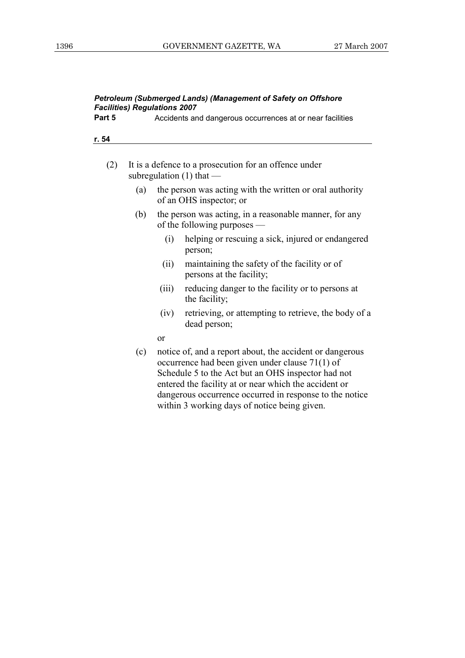| Petroleum (Submerged Lands) (Management of Safety on Offshore<br><b>Facilities) Regulations 2007</b> |     |                                                                                       |                                                                                                                                                                                                                                                                                                                                       |  |  |
|------------------------------------------------------------------------------------------------------|-----|---------------------------------------------------------------------------------------|---------------------------------------------------------------------------------------------------------------------------------------------------------------------------------------------------------------------------------------------------------------------------------------------------------------------------------------|--|--|
| Part 5                                                                                               |     |                                                                                       | Accidents and dangerous occurrences at or near facilities                                                                                                                                                                                                                                                                             |  |  |
| r. 54                                                                                                |     |                                                                                       |                                                                                                                                                                                                                                                                                                                                       |  |  |
|                                                                                                      |     |                                                                                       |                                                                                                                                                                                                                                                                                                                                       |  |  |
| (2)                                                                                                  |     | It is a defence to a prosecution for an offence under<br>subregulation $(1)$ that     |                                                                                                                                                                                                                                                                                                                                       |  |  |
|                                                                                                      | (a) |                                                                                       | the person was acting with the written or oral authority<br>of an OHS inspector; or                                                                                                                                                                                                                                                   |  |  |
|                                                                                                      | (b) | the person was acting, in a reasonable manner, for any<br>of the following purposes - |                                                                                                                                                                                                                                                                                                                                       |  |  |
|                                                                                                      |     | (i)                                                                                   | helping or rescuing a sick, injured or endangered<br>person;                                                                                                                                                                                                                                                                          |  |  |
|                                                                                                      |     | (ii)                                                                                  | maintaining the safety of the facility or of<br>persons at the facility;                                                                                                                                                                                                                                                              |  |  |
|                                                                                                      |     | (iii)                                                                                 | reducing danger to the facility or to persons at<br>the facility;                                                                                                                                                                                                                                                                     |  |  |
|                                                                                                      |     | (iv)                                                                                  | retrieving, or attempting to retrieve, the body of a<br>dead person;                                                                                                                                                                                                                                                                  |  |  |
|                                                                                                      |     | <sub>or</sub>                                                                         |                                                                                                                                                                                                                                                                                                                                       |  |  |
|                                                                                                      | (c) |                                                                                       | notice of, and a report about, the accident or dangerous<br>occurrence had been given under clause 71(1) of<br>Schedule 5 to the Act but an OHS inspector had not<br>entered the facility at or near which the accident or<br>dangerous occurrence occurred in response to the notice<br>within 3 working days of notice being given. |  |  |
|                                                                                                      |     |                                                                                       |                                                                                                                                                                                                                                                                                                                                       |  |  |
|                                                                                                      |     |                                                                                       |                                                                                                                                                                                                                                                                                                                                       |  |  |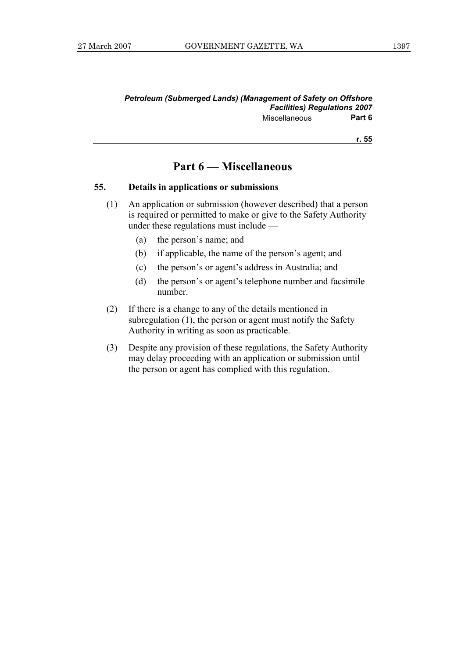#### *Petroleum (Submerged Lands) (Management of Safety on Offshore Facilities) Regulations 2007*  Miscellaneous **Part 6**

**r. 55**

#### **Part 6 — Miscellaneous**

#### **55. Details in applications or submissions**

- (1) An application or submission (however described) that a person is required or permitted to make or give to the Safety Authority under these regulations must include —
	- (a) the person's name; and
	- (b) if applicable, the name of the person's agent; and
	- (c) the person's or agent's address in Australia; and
	- (d) the person's or agent's telephone number and facsimile number.
- (2) If there is a change to any of the details mentioned in subregulation (1), the person or agent must notify the Safety Authority in writing as soon as practicable.
- (3) Despite any provision of these regulations, the Safety Authority may delay proceeding with an application or submission until the person or agent has complied with this regulation.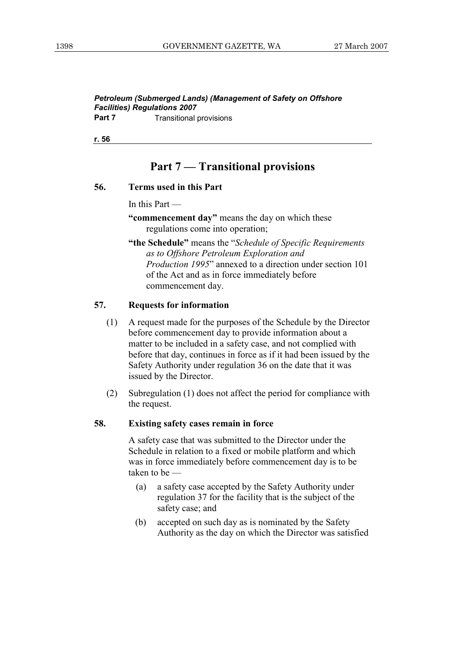*Petroleum (Submerged Lands) (Management of Safety on Offshore Facilities) Regulations 2007*  **Part 7 Transitional provisions** 

**r. 56**

### **Part 7 — Transitional provisions**

#### **56. Terms used in this Part**

In this Part —

 **"commencement day"** means the day on which these regulations come into operation;

 **"the Schedule"** means the "*Schedule of Specific Requirements as to Offshore Petroleum Exploration and Production 1995*" annexed to a direction under section 101 of the Act and as in force immediately before commencement day.

#### **57. Requests for information**

- (1) A request made for the purposes of the Schedule by the Director before commencement day to provide information about a matter to be included in a safety case, and not complied with before that day, continues in force as if it had been issued by the Safety Authority under regulation 36 on the date that it was issued by the Director.
- (2) Subregulation (1) does not affect the period for compliance with the request.

#### **58. Existing safety cases remain in force**

 A safety case that was submitted to the Director under the Schedule in relation to a fixed or mobile platform and which was in force immediately before commencement day is to be taken to be —

- (a) a safety case accepted by the Safety Authority under regulation 37 for the facility that is the subject of the safety case; and
- (b) accepted on such day as is nominated by the Safety Authority as the day on which the Director was satisfied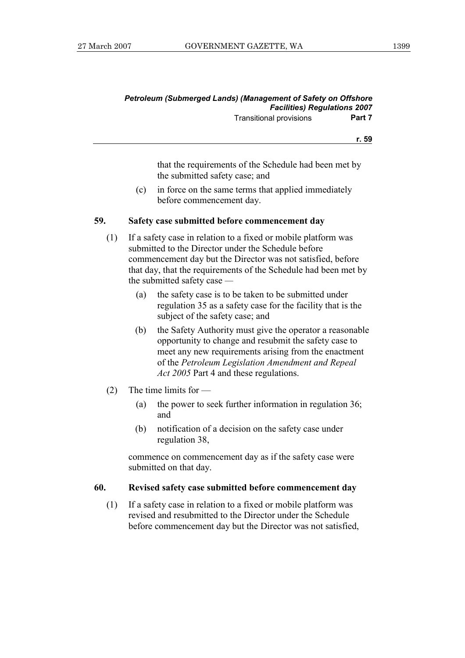#### *Petroleum (Submerged Lands) (Management of Safety on Offshore Facilities) Regulations 2007*  Transitional provisions **Part 7**

**r. 59**

that the requirements of the Schedule had been met by the submitted safety case; and

 (c) in force on the same terms that applied immediately before commencement day.

#### **59. Safety case submitted before commencement day**

- (1) If a safety case in relation to a fixed or mobile platform was submitted to the Director under the Schedule before commencement day but the Director was not satisfied, before that day, that the requirements of the Schedule had been met by the submitted safety case *—* 
	- (a) the safety case is to be taken to be submitted under regulation 35 as a safety case for the facility that is the subject of the safety case; and
	- (b) the Safety Authority must give the operator a reasonable opportunity to change and resubmit the safety case to meet any new requirements arising from the enactment of the *Petroleum Legislation Amendment and Repeal Act 2005* Part 4 and these regulations.
- (2) The time limits for
	- (a) the power to seek further information in regulation 36; and
	- (b) notification of a decision on the safety case under regulation 38,

 commence on commencement day as if the safety case were submitted on that day.

#### **60. Revised safety case submitted before commencement day**

 (1) If a safety case in relation to a fixed or mobile platform was revised and resubmitted to the Director under the Schedule before commencement day but the Director was not satisfied,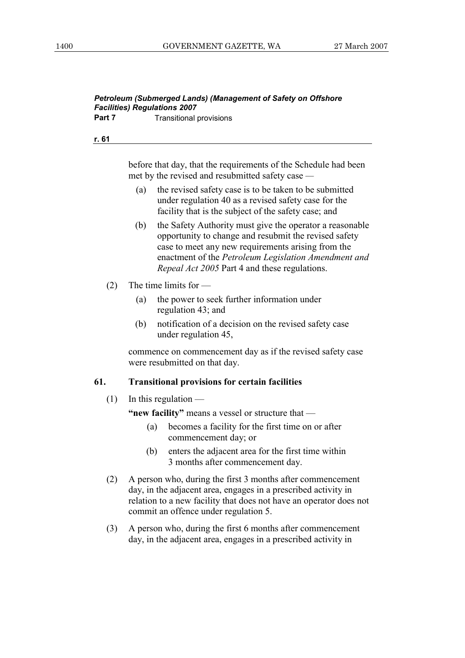before that day, that the requirements of the Schedule had been met by the revised and resubmitted safety case *—* 

- (a) the revised safety case is to be taken to be submitted under regulation 40 as a revised safety case for the facility that is the subject of the safety case; and
- (b) the Safety Authority must give the operator a reasonable opportunity to change and resubmit the revised safety case to meet any new requirements arising from the enactment of the *Petroleum Legislation Amendment and Repeal Act 2005* Part 4 and these regulations.
- (2) The time limits for
	- (a) the power to seek further information under regulation 43; and
	- (b) notification of a decision on the revised safety case under regulation 45,

 commence on commencement day as if the revised safety case were resubmitted on that day.

#### **61. Transitional provisions for certain facilities**

 $(1)$  In this regulation —

 **"new facility"** means a vessel or structure that —

- (a) becomes a facility for the first time on or after commencement day; or
- (b) enters the adjacent area for the first time within 3 months after commencement day.
- (2) A person who, during the first 3 months after commencement day, in the adjacent area, engages in a prescribed activity in relation to a new facility that does not have an operator does not commit an offence under regulation 5.
- (3) A person who, during the first 6 months after commencement day, in the adjacent area, engages in a prescribed activity in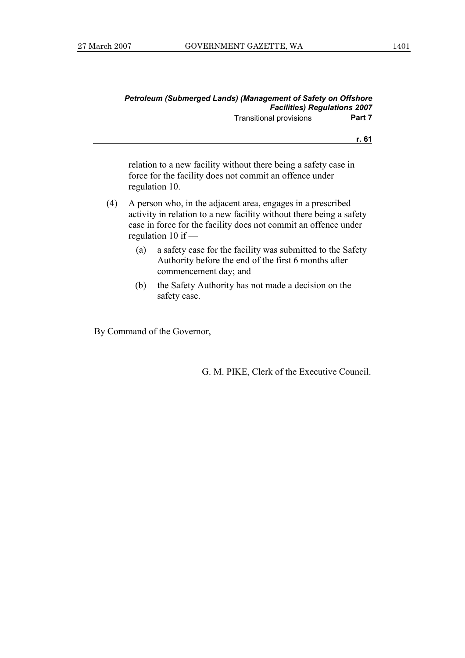|     |                                                                                                                                                                                                                               | <b>Petroleum (Submerged Lands) (Management of Safety on Offshore</b><br><b>Facilities) Regulations 2007</b>                                  |        |
|-----|-------------------------------------------------------------------------------------------------------------------------------------------------------------------------------------------------------------------------------|----------------------------------------------------------------------------------------------------------------------------------------------|--------|
|     |                                                                                                                                                                                                                               | <b>Transitional provisions</b>                                                                                                               | Part 7 |
|     |                                                                                                                                                                                                                               |                                                                                                                                              | r. 61  |
|     |                                                                                                                                                                                                                               | relation to a new facility without there being a safety case in<br>force for the facility does not commit an offence under<br>regulation 10. |        |
| (4) | A person who, in the adjacent area, engages in a prescribed<br>activity in relation to a new facility without there being a safety<br>case in force for the facility does not commit an offence under<br>regulation 10 if $-$ |                                                                                                                                              |        |
|     | (a)                                                                                                                                                                                                                           | a safety case for the facility was submitted to the Safety<br>Authority before the end of the first 6 months after<br>commencement day; and  |        |
|     | (b)                                                                                                                                                                                                                           | the Safety Authority has not made a decision on the<br>safety case.                                                                          |        |

By Command of the Governor,

G. M. PIKE, Clerk of the Executive Council.